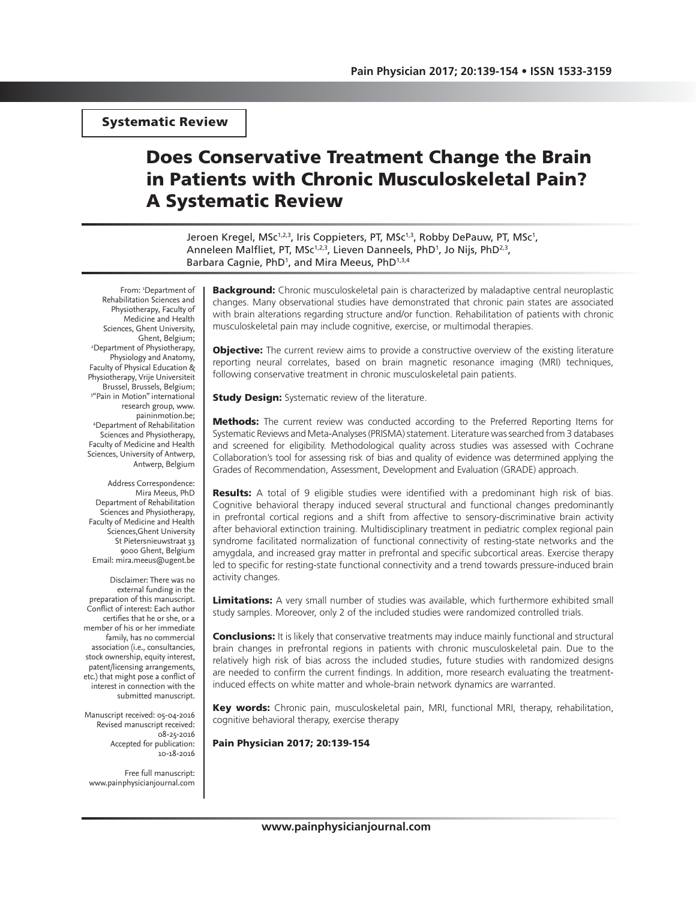Systematic Review

# Does Conservative Treatment Change the Brain in Patients with Chronic Musculoskeletal Pain? A Systematic Review

Jeroen Kregel, MSc1,2,3, Iris Coppieters, PT, MSc1,3, Robby DePauw, PT, MSc1, Anneleen Malfliet, PT, MSc<sup>1,2,3</sup>, Lieven Danneels, PhD<sup>1</sup>, Jo Nijs, PhD<sup>2,3</sup>, Barbara Cagnie, PhD<sup>1</sup>, and Mira Meeus, PhD<sup>1,3,4</sup>

From: 1 Department of Rehabilitation Sciences and Physiotherapy, Faculty of Medicine and Health Sciences, Ghent University, Ghent, Belgium; 2 Department of Physiotherapy, Physiology and Anatomy, Faculty of Physical Education & Physiotherapy, Vrije Universiteit Brussel, Brussels, Belgium; 3 "Pain in Motion" international research group, www. paininmotion.be; 4 Department of Rehabilitation Sciences and Physiotherapy, Faculty of Medicine and Health Sciences, University of Antwerp, Antwerp, Belgium

Address Correspondence: Mira Meeus, PhD Department of Rehabilitation Sciences and Physiotherapy, Faculty of Medicine and Health Sciences,Ghent University St Pietersnieuwstraat 33 9000 Ghent, Belgium Email: mira.meeus@ugent.be

Disclaimer: There was no external funding in the preparation of this manuscript. Conflict of interest: Each author certifies that he or she, or a member of his or her immediate family, has no commercial association (i.e., consultancies, stock ownership, equity interest, patent/licensing arrangements, etc.) that might pose a conflict of interest in connection with the submitted manuscript.

Manuscript received: 05-04-2016 Revised manuscript received: 08-25-2016 Accepted for publication: 10-18-2016

Free full manuscript: www.painphysicianjournal.com

**Background:** Chronic musculoskeletal pain is characterized by maladaptive central neuroplastic changes. Many observational studies have demonstrated that chronic pain states are associated with brain alterations regarding structure and/or function. Rehabilitation of patients with chronic musculoskeletal pain may include cognitive, exercise, or multimodal therapies.

**Objective:** The current review aims to provide a constructive overview of the existing literature reporting neural correlates, based on brain magnetic resonance imaging (MRI) techniques, following conservative treatment in chronic musculoskeletal pain patients.

**Study Design:** Systematic review of the literature.

**Methods:** The current review was conducted according to the Preferred Reporting Items for Systematic Reviews and Meta-Analyses (PRISMA) statement. Literature was searched from 3 databases and screened for eligibility. Methodological quality across studies was assessed with Cochrane Collaboration's tool for assessing risk of bias and quality of evidence was determined applying the Grades of Recommendation, Assessment, Development and Evaluation (GRADE) approach.

**Results:** A total of 9 eligible studies were identified with a predominant high risk of bias. Cognitive behavioral therapy induced several structural and functional changes predominantly in prefrontal cortical regions and a shift from affective to sensory-discriminative brain activity after behavioral extinction training. Multidisciplinary treatment in pediatric complex regional pain syndrome facilitated normalization of functional connectivity of resting-state networks and the amygdala, and increased gray matter in prefrontal and specific subcortical areas. Exercise therapy led to specific for resting-state functional connectivity and a trend towards pressure-induced brain activity changes.

Limitations: A very small number of studies was available, which furthermore exhibited small study samples. Moreover, only 2 of the included studies were randomized controlled trials.

**Conclusions:** It is likely that conservative treatments may induce mainly functional and structural brain changes in prefrontal regions in patients with chronic musculoskeletal pain. Due to the relatively high risk of bias across the included studies, future studies with randomized designs are needed to confirm the current findings. In addition, more research evaluating the treatmentinduced effects on white matter and whole-brain network dynamics are warranted.

Key words: Chronic pain, musculoskeletal pain, MRI, functional MRI, therapy, rehabilitation, cognitive behavioral therapy, exercise therapy

Pain Physician 2017; 20:139-154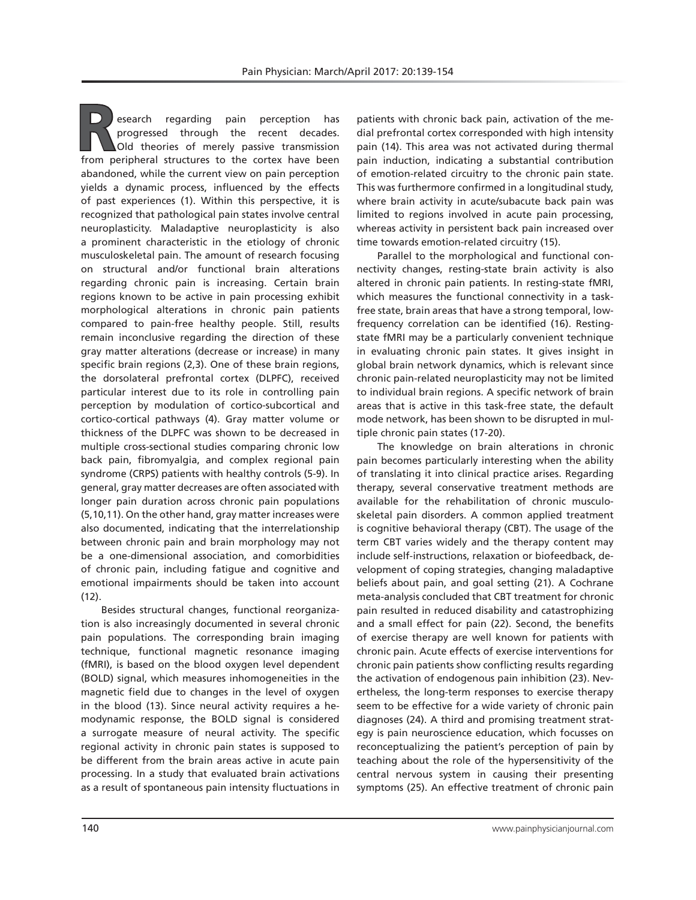**Research regarding pain perception has progressed through the recent decades.<br>
Old theories of merely passive transmission from peripheral structures to the cortex have been** progressed through the recent decades. Old theories of merely passive transmission abandoned, while the current view on pain perception yields a dynamic process, influenced by the effects of past experiences (1). Within this perspective, it is recognized that pathological pain states involve central neuroplasticity. Maladaptive neuroplasticity is also a prominent characteristic in the etiology of chronic musculoskeletal pain. The amount of research focusing on structural and/or functional brain alterations regarding chronic pain is increasing. Certain brain regions known to be active in pain processing exhibit morphological alterations in chronic pain patients compared to pain-free healthy people. Still, results remain inconclusive regarding the direction of these gray matter alterations (decrease or increase) in many specific brain regions (2,3). One of these brain regions, the dorsolateral prefrontal cortex (DLPFC), received particular interest due to its role in controlling pain perception by modulation of cortico-subcortical and cortico-cortical pathways (4). Gray matter volume or thickness of the DLPFC was shown to be decreased in multiple cross-sectional studies comparing chronic low back pain, fibromyalgia, and complex regional pain syndrome (CRPS) patients with healthy controls (5-9). In general, gray matter decreases are often associated with longer pain duration across chronic pain populations (5,10,11). On the other hand, gray matter increases were also documented, indicating that the interrelationship between chronic pain and brain morphology may not be a one-dimensional association, and comorbidities of chronic pain, including fatigue and cognitive and emotional impairments should be taken into account (12).

Besides structural changes, functional reorganization is also increasingly documented in several chronic pain populations. The corresponding brain imaging technique, functional magnetic resonance imaging (fMRI), is based on the blood oxygen level dependent (BOLD) signal, which measures inhomogeneities in the magnetic field due to changes in the level of oxygen in the blood (13). Since neural activity requires a hemodynamic response, the BOLD signal is considered a surrogate measure of neural activity. The specific regional activity in chronic pain states is supposed to be different from the brain areas active in acute pain processing. In a study that evaluated brain activations as a result of spontaneous pain intensity fluctuations in

patients with chronic back pain, activation of the medial prefrontal cortex corresponded with high intensity pain (14). This area was not activated during thermal pain induction, indicating a substantial contribution of emotion-related circuitry to the chronic pain state. This was furthermore confirmed in a longitudinal study, where brain activity in acute/subacute back pain was limited to regions involved in acute pain processing, whereas activity in persistent back pain increased over time towards emotion-related circuitry (15).

Parallel to the morphological and functional connectivity changes, resting-state brain activity is also altered in chronic pain patients. In resting-state fMRI, which measures the functional connectivity in a taskfree state, brain areas that have a strong temporal, lowfrequency correlation can be identified (16). Restingstate fMRI may be a particularly convenient technique in evaluating chronic pain states. It gives insight in global brain network dynamics, which is relevant since chronic pain-related neuroplasticity may not be limited to individual brain regions. A specific network of brain areas that is active in this task-free state, the default mode network, has been shown to be disrupted in multiple chronic pain states (17-20).

The knowledge on brain alterations in chronic pain becomes particularly interesting when the ability of translating it into clinical practice arises. Regarding therapy, several conservative treatment methods are available for the rehabilitation of chronic musculoskeletal pain disorders. A common applied treatment is cognitive behavioral therapy (CBT). The usage of the term CBT varies widely and the therapy content may include self-instructions, relaxation or biofeedback, development of coping strategies, changing maladaptive beliefs about pain, and goal setting (21). A Cochrane meta-analysis concluded that CBT treatment for chronic pain resulted in reduced disability and catastrophizing and a small effect for pain (22). Second, the benefits of exercise therapy are well known for patients with chronic pain. Acute effects of exercise interventions for chronic pain patients show conflicting results regarding the activation of endogenous pain inhibition (23). Nevertheless, the long-term responses to exercise therapy seem to be effective for a wide variety of chronic pain diagnoses (24). A third and promising treatment strategy is pain neuroscience education, which focusses on reconceptualizing the patient's perception of pain by teaching about the role of the hypersensitivity of the central nervous system in causing their presenting symptoms (25). An effective treatment of chronic pain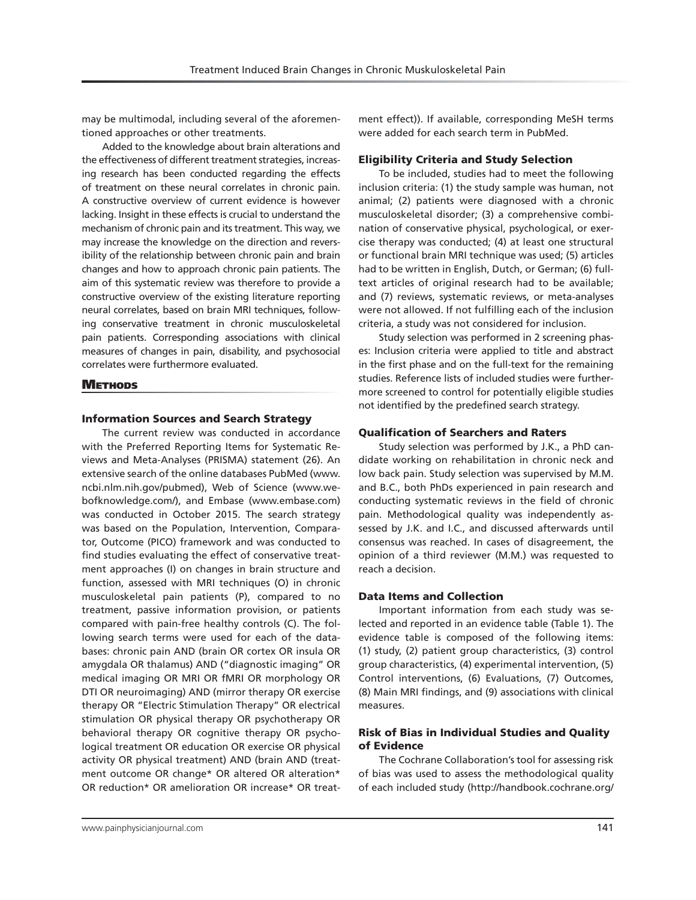may be multimodal, including several of the aforementioned approaches or other treatments.

Added to the knowledge about brain alterations and the effectiveness of different treatment strategies, increasing research has been conducted regarding the effects of treatment on these neural correlates in chronic pain. A constructive overview of current evidence is however lacking. Insight in these effects is crucial to understand the mechanism of chronic pain and its treatment. This way, we may increase the knowledge on the direction and reversibility of the relationship between chronic pain and brain changes and how to approach chronic pain patients. The aim of this systematic review was therefore to provide a constructive overview of the existing literature reporting neural correlates, based on brain MRI techniques, following conservative treatment in chronic musculoskeletal pain patients. Corresponding associations with clinical measures of changes in pain, disability, and psychosocial correlates were furthermore evaluated.

#### **METHODS**

#### Information Sources and Search Strategy

The current review was conducted in accordance with the Preferred Reporting Items for Systematic Reviews and Meta-Analyses (PRISMA) statement (26). An extensive search of the online databases PubMed (www. ncbi.nlm.nih.gov/pubmed), Web of Science (www.webofknowledge.com/), and Embase (www.embase.com) was conducted in October 2015. The search strategy was based on the Population, Intervention, Comparator, Outcome (PICO) framework and was conducted to find studies evaluating the effect of conservative treatment approaches (I) on changes in brain structure and function, assessed with MRI techniques (O) in chronic musculoskeletal pain patients (P), compared to no treatment, passive information provision, or patients compared with pain-free healthy controls (C). The following search terms were used for each of the databases: chronic pain AND (brain OR cortex OR insula OR amygdala OR thalamus) AND ("diagnostic imaging" OR medical imaging OR MRI OR fMRI OR morphology OR DTI OR neuroimaging) AND (mirror therapy OR exercise therapy OR "Electric Stimulation Therapy" OR electrical stimulation OR physical therapy OR psychotherapy OR behavioral therapy OR cognitive therapy OR psychological treatment OR education OR exercise OR physical activity OR physical treatment) AND (brain AND (treatment outcome OR change\* OR altered OR alteration\* OR reduction\* OR amelioration OR increase\* OR treat-

ment effect)). If available, corresponding MeSH terms were added for each search term in PubMed.

#### Eligibility Criteria and Study Selection

To be included, studies had to meet the following inclusion criteria: (1) the study sample was human, not animal; (2) patients were diagnosed with a chronic musculoskeletal disorder; (3) a comprehensive combination of conservative physical, psychological, or exercise therapy was conducted; (4) at least one structural or functional brain MRI technique was used; (5) articles had to be written in English, Dutch, or German; (6) fulltext articles of original research had to be available; and (7) reviews, systematic reviews, or meta-analyses were not allowed. If not fulfilling each of the inclusion criteria, a study was not considered for inclusion.

Study selection was performed in 2 screening phases: Inclusion criteria were applied to title and abstract in the first phase and on the full-text for the remaining studies. Reference lists of included studies were furthermore screened to control for potentially eligible studies not identified by the predefined search strategy.

#### Qualification of Searchers and Raters

Study selection was performed by J.K., a PhD candidate working on rehabilitation in chronic neck and low back pain. Study selection was supervised by M.M. and B.C., both PhDs experienced in pain research and conducting systematic reviews in the field of chronic pain. Methodological quality was independently assessed by J.K. and I.C., and discussed afterwards until consensus was reached. In cases of disagreement, the opinion of a third reviewer (M.M.) was requested to reach a decision.

#### Data Items and Collection

Important information from each study was selected and reported in an evidence table (Table 1). The evidence table is composed of the following items: (1) study, (2) patient group characteristics, (3) control group characteristics, (4) experimental intervention, (5) Control interventions, (6) Evaluations, (7) Outcomes, (8) Main MRI findings, and (9) associations with clinical measures.

# Risk of Bias in Individual Studies and Quality of Evidence

The Cochrane Collaboration's tool for assessing risk of bias was used to assess the methodological quality of each included study (http://handbook.cochrane.org/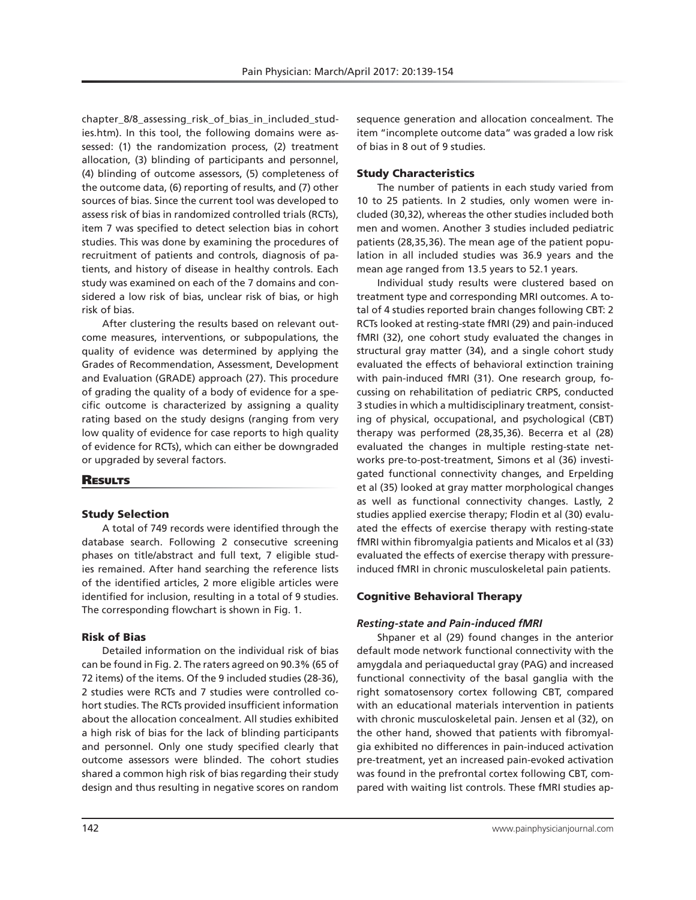chapter\_8/8\_assessing\_risk\_of\_bias\_in\_included\_studies.htm). In this tool, the following domains were assessed: (1) the randomization process, (2) treatment allocation, (3) blinding of participants and personnel, (4) blinding of outcome assessors, (5) completeness of the outcome data, (6) reporting of results, and (7) other sources of bias. Since the current tool was developed to assess risk of bias in randomized controlled trials (RCTs), item 7 was specified to detect selection bias in cohort studies. This was done by examining the procedures of recruitment of patients and controls, diagnosis of patients, and history of disease in healthy controls. Each study was examined on each of the 7 domains and considered a low risk of bias, unclear risk of bias, or high risk of bias.

After clustering the results based on relevant outcome measures, interventions, or subpopulations, the quality of evidence was determined by applying the Grades of Recommendation, Assessment, Development and Evaluation (GRADE) approach (27). This procedure of grading the quality of a body of evidence for a specific outcome is characterized by assigning a quality rating based on the study designs (ranging from very low quality of evidence for case reports to high quality of evidence for RCTs), which can either be downgraded or upgraded by several factors.

# **RESULTS**

# Study Selection

A total of 749 records were identified through the database search. Following 2 consecutive screening phases on title/abstract and full text, 7 eligible studies remained. After hand searching the reference lists of the identified articles, 2 more eligible articles were identified for inclusion, resulting in a total of 9 studies. The corresponding flowchart is shown in Fig. 1.

## Risk of Bias

Detailed information on the individual risk of bias can be found in Fig. 2. The raters agreed on 90.3% (65 of 72 items) of the items. Of the 9 included studies (28-36), 2 studies were RCTs and 7 studies were controlled cohort studies. The RCTs provided insufficient information about the allocation concealment. All studies exhibited a high risk of bias for the lack of blinding participants and personnel. Only one study specified clearly that outcome assessors were blinded. The cohort studies shared a common high risk of bias regarding their study design and thus resulting in negative scores on random

sequence generation and allocation concealment. The item "incomplete outcome data" was graded a low risk of bias in 8 out of 9 studies.

## Study Characteristics

The number of patients in each study varied from 10 to 25 patients. In 2 studies, only women were included (30,32), whereas the other studies included both men and women. Another 3 studies included pediatric patients (28,35,36). The mean age of the patient population in all included studies was 36.9 years and the mean age ranged from 13.5 years to 52.1 years.

Individual study results were clustered based on treatment type and corresponding MRI outcomes. A total of 4 studies reported brain changes following CBT: 2 RCTs looked at resting-state fMRI (29) and pain-induced fMRI (32), one cohort study evaluated the changes in structural gray matter (34), and a single cohort study evaluated the effects of behavioral extinction training with pain-induced fMRI (31). One research group, focussing on rehabilitation of pediatric CRPS, conducted 3 studies in which a multidisciplinary treatment, consisting of physical, occupational, and psychological (CBT) therapy was performed (28,35,36). Becerra et al (28) evaluated the changes in multiple resting-state networks pre-to-post-treatment, Simons et al (36) investigated functional connectivity changes, and Erpelding et al (35) looked at gray matter morphological changes as well as functional connectivity changes. Lastly, 2 studies applied exercise therapy; Flodin et al (30) evaluated the effects of exercise therapy with resting-state fMRI within fibromyalgia patients and Micalos et al (33) evaluated the effects of exercise therapy with pressureinduced fMRI in chronic musculoskeletal pain patients.

# Cognitive Behavioral Therapy

# *Resting-state and Pain-induced fMRI*

Shpaner et al (29) found changes in the anterior default mode network functional connectivity with the amygdala and periaqueductal gray (PAG) and increased functional connectivity of the basal ganglia with the right somatosensory cortex following CBT, compared with an educational materials intervention in patients with chronic musculoskeletal pain. Jensen et al (32), on the other hand, showed that patients with fibromyalgia exhibited no differences in pain-induced activation pre-treatment, yet an increased pain-evoked activation was found in the prefrontal cortex following CBT, compared with waiting list controls. These fMRI studies ap-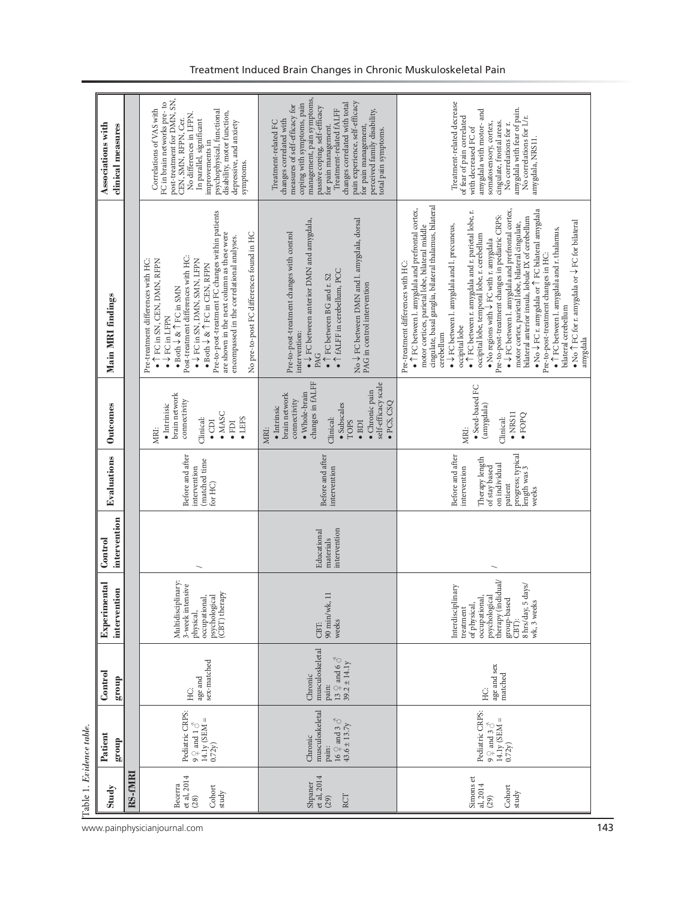|                          | <b>Associations with</b><br>clinical measures |         | post-treatment for DMN, SN,<br>FC in brain networks pre- to<br>Correlations of VAS with<br>psychophysical, functional<br>disability, motor function,<br>No differences in LFPN.<br>CEN, SMN, RFPN, Cer.<br>In parallel, significant<br>depressive, and anxiety<br>improvements in                                                                                                                                                                                                                                             | management, pain symptoms,<br>pain experience, self-efficacy<br>coping with symptoms, pain<br>changes correlated with total<br>measures of self-efficacy for<br>passive coping, self-efficacy<br>Treatment-related fALFF<br>perceived family disability,<br>changes correlated with<br>Treatment-related FC<br>for pain management.<br>for pain management,<br>total pain symptoms. | Treatment-related decrease<br>amygdala with fear of pain.<br>amygdala with motor- and<br>of fear of pain correlated<br>No correlations for l./r.<br>cingulate, frontal areas.<br>somatosensory, cortex,<br>No correlations for r.<br>with decreased FC of<br>amygdala, NRS11.                                                                                                                                                                                                                                                                                                                                                                                                                                                                                                                                                                                                                                                                                                                                                                                                    |
|--------------------------|-----------------------------------------------|---------|-------------------------------------------------------------------------------------------------------------------------------------------------------------------------------------------------------------------------------------------------------------------------------------------------------------------------------------------------------------------------------------------------------------------------------------------------------------------------------------------------------------------------------|-------------------------------------------------------------------------------------------------------------------------------------------------------------------------------------------------------------------------------------------------------------------------------------------------------------------------------------------------------------------------------------|----------------------------------------------------------------------------------------------------------------------------------------------------------------------------------------------------------------------------------------------------------------------------------------------------------------------------------------------------------------------------------------------------------------------------------------------------------------------------------------------------------------------------------------------------------------------------------------------------------------------------------------------------------------------------------------------------------------------------------------------------------------------------------------------------------------------------------------------------------------------------------------------------------------------------------------------------------------------------------------------------------------------------------------------------------------------------------|
|                          |                                               |         | symptoms.                                                                                                                                                                                                                                                                                                                                                                                                                                                                                                                     |                                                                                                                                                                                                                                                                                                                                                                                     |                                                                                                                                                                                                                                                                                                                                                                                                                                                                                                                                                                                                                                                                                                                                                                                                                                                                                                                                                                                                                                                                                  |
|                          | Main MRI findings                             |         | Pre-to-post-treatment FC changes within patients<br>are shown in the next column as these were<br>No pre-to-post FC differences found in HC<br>encompassed in the correlational analyses.<br>Post-treatment differences with HC:<br>$\bullet \downarrow$ FC in SN, DMN, SMN, LFPN<br>Pre-treatment differences with HC:<br>$\bullet$ $\uparrow$ FC in SN, CEN, DMN, RFPN<br>$\bullet$ Both $\downarrow$ & $\uparrow$ FC in CEN, RFPN<br>$\bullet$ Both $\downarrow$ & $\uparrow$ FC in SMN<br>$\bullet \downarrow$ FC in LFPN | No $\downarrow$ FC between DMN and l. amygdala, dorsal PAG in control intervention<br>$\bullet\;\mathrel{\mathop{\downarrow}\,}$ FC between anterior DMN and amygdala,<br>Pre-to-post-treatment changes with control<br>$\bullet$ $\uparrow$ fALFF in cerebellum, PCC<br>$\bullet$ $\uparrow$ FC between BG and r. S2<br>intervention:<br>PAG                                       | cingulate, basal ganglia, bilateral thalamus, bilateral<br>$\bullet$ $\hat{\top}$ FC between l. amygdala and prefrontal cortex,<br>$\bullet\,\bigstar$ FC between l. amygdala and prefrontal cortex,<br>$\bullet$ No $\downarrow$ FC r. amygdala or $\uparrow$ FC bilateral amygdala<br>$\bullet$ $\uparrow$ FC between r. amygdala and r. parietal lobe, r.<br>Pre-to-post-treatment changes in pediatric CRPS:<br>bilateral anterior insula, lobule IX of cerebellum<br>$\bullet$ No $\uparrow$ FC for r. amygdala or $\downarrow$ FC for bilateral<br>motor cortex, parietal lobe, bilateral cingulate,<br>motor cortices, parietal lobe, bilateral middle<br>$\bullet\,\textcolor{red}{\downarrow}$ FC between l. amygdala and l. precuneus,<br>$\bullet$ $\uparrow$ FC between l. amygdala and r. thalamus,<br>occipital lobe, temporal lobe, r. cerebellum<br>$\bullet$ No regions with $\downarrow$ FC with r. amygdala<br>Pre-to-post-treatment changes in HC:<br>Pre-treatment differences with HC:<br>bilateral cerebellum<br>occipital lobe<br>cerebellum<br>amygdala |
|                          | <b>Outcomes</b>                               |         | brain network<br>connectivity<br>$\bullet$ Intrinisic<br>$\bullet$ MASC<br>$\bullet$ LEFS<br>Clinical:<br>$\bullet$ CDI<br>$\bullet$ FDI<br>MRI:                                                                                                                                                                                                                                                                                                                                                                              | changes in fALFF<br>self-efficacy scale<br>· Chronic pain<br>· Whole-brain<br>brain network<br>connectivity<br>· PCS, CSQ<br>· Subscales<br>$\bullet$ Intrinsic<br>Clinical:<br>TOPS<br>$\bullet$ BDI<br>MRI:                                                                                                                                                                       | • Seed-based FC<br>(amygdala)<br>$\bullet$ NRS11<br>$\bullet$ FOPQ<br>Clinical:<br>MRI:                                                                                                                                                                                                                                                                                                                                                                                                                                                                                                                                                                                                                                                                                                                                                                                                                                                                                                                                                                                          |
|                          | Evaluations                                   |         | Before and after<br>(matched time<br>intervention<br>for HC)                                                                                                                                                                                                                                                                                                                                                                                                                                                                  | Before and after<br>intervention                                                                                                                                                                                                                                                                                                                                                    | progress; typical<br>Before and after<br>Therapy length<br>on individual<br>intervention<br>of stay based<br>length was 3<br>patient<br>weeks                                                                                                                                                                                                                                                                                                                                                                                                                                                                                                                                                                                                                                                                                                                                                                                                                                                                                                                                    |
|                          | intervention<br>Control                       |         |                                                                                                                                                                                                                                                                                                                                                                                                                                                                                                                               | intervention<br>Educational<br>materials                                                                                                                                                                                                                                                                                                                                            |                                                                                                                                                                                                                                                                                                                                                                                                                                                                                                                                                                                                                                                                                                                                                                                                                                                                                                                                                                                                                                                                                  |
|                          | Experimental<br>intervention                  |         | Multidisciplinary:<br>3-week intensive<br>(CBT) therapy<br>occupational,<br>psychological<br>physical,                                                                                                                                                                                                                                                                                                                                                                                                                        | $\equiv$<br>90 min/wk,<br>weeks<br>CBT:                                                                                                                                                                                                                                                                                                                                             | therapy (indidual/<br>8 hrs/day, 5 days/<br>Interdisciplinary<br>occupational,<br>psychological<br>group-based<br>of physical,<br>wk, 3 weeks<br>treatment<br>CBT):                                                                                                                                                                                                                                                                                                                                                                                                                                                                                                                                                                                                                                                                                                                                                                                                                                                                                                              |
|                          | Control<br>dno.ra                             |         | sex-matched<br>age and<br>ЧC:                                                                                                                                                                                                                                                                                                                                                                                                                                                                                                 | musculoskeletal<br>$\begin{array}{l} \textbf{\textcolor{blue}{13}} \mathrel{\mathop{\triangle}^{}} \textbf{\textcolor{blue}{and}} \ \textbf{\textcolor{blue}{6}} \ \textbf{\textcolor{blue}{\circ}} \\ \textbf{\textcolor{blue}{39.2}} \pm \textbf{\textcolor{blue}{14.1y}} \end{array}$<br>Chronic<br>pain:                                                                        | age and sex<br>matched<br>НC:                                                                                                                                                                                                                                                                                                                                                                                                                                                                                                                                                                                                                                                                                                                                                                                                                                                                                                                                                                                                                                                    |
|                          | Patient<br>group                              |         | Pediatric CRPS:<br>$\begin{array}{l} 14.1 \, \text{y (SEM} = \\ 0.72 \, \text{y)} \end{array}$<br>$99$ and $15$                                                                                                                                                                                                                                                                                                                                                                                                               | musculoskeletal<br>$\begin{array}{l} \text{16} \mathrel{\mathop{\triangle}^{}} \text{and} \; \text{3} \; \text{0} \\ \text{43.6} \pm 13.7 \text{y} \end{array}$<br>Chronic<br>pain:                                                                                                                                                                                                 | Pediatric CRPS:<br>$14.1y$ (SEM =<br>9 $\frac{\circ}{\pi}$ and 3 $\circ$<br>0.72y                                                                                                                                                                                                                                                                                                                                                                                                                                                                                                                                                                                                                                                                                                                                                                                                                                                                                                                                                                                                |
| Table 1. Evidence table. | Study                                         | RS-MIRI | et al, 2014<br>Becerra<br>Cohort<br>study<br>(28)                                                                                                                                                                                                                                                                                                                                                                                                                                                                             | et al, 2014<br>Shpaner<br>RCT<br>(29)                                                                                                                                                                                                                                                                                                                                               | Simons et<br>al, 2014<br>Cohort<br>study<br>(29)                                                                                                                                                                                                                                                                                                                                                                                                                                                                                                                                                                                                                                                                                                                                                                                                                                                                                                                                                                                                                                 |

www.painphysicianjournal.com **143**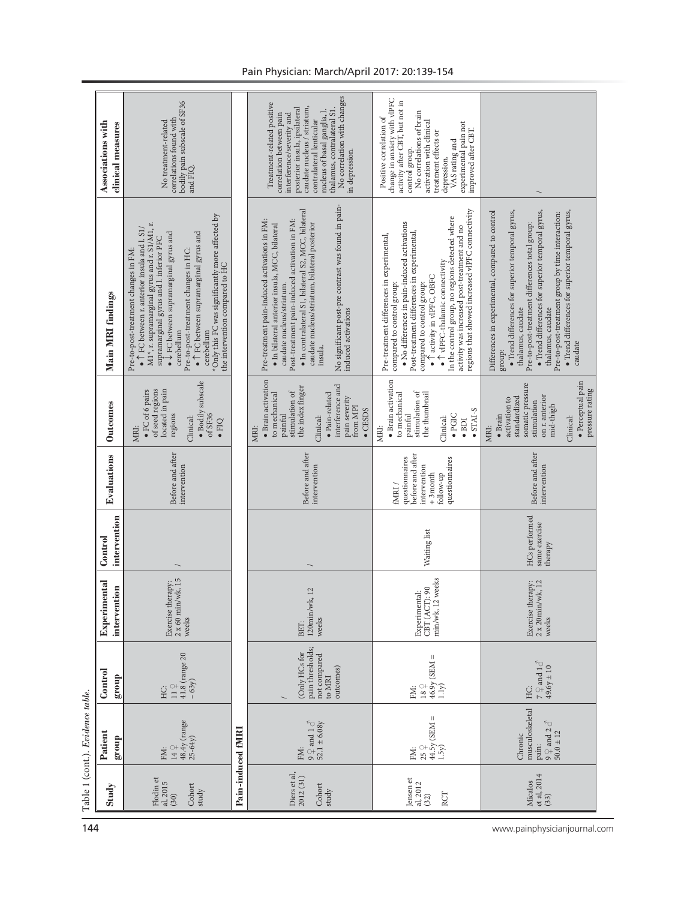| <b>Associations with</b><br>clinical measures | bodily pain subscale of SF36<br>correlations found with<br>No treatment-related<br>and FIQ.                                                                                                                                                                                                                                                                                                                                                                                                          |                   | No correlation with changes<br>Treatment-related positive<br>caudate nucleus / striatum,<br>posterior insula, ipsilateral<br>thalamus, contralateral S1.<br>nucleus of basal ganglia, l.<br>correlation between pain<br>interference/severity and<br>contralateral lenticular<br>in depression.                                                                               | change in anxiety with vIPFC<br>activity after CBT, but not in<br>No correlations of brain<br>Positive correlation of<br>activation with clinical<br>experimental pain not<br>improved after CBT.<br>treatment effects or<br>VAS rating and<br>control group.<br>depression.                                                                                                                                                                   |                                                                                                                                                                                                                                                                                                                                                                                                   |
|-----------------------------------------------|------------------------------------------------------------------------------------------------------------------------------------------------------------------------------------------------------------------------------------------------------------------------------------------------------------------------------------------------------------------------------------------------------------------------------------------------------------------------------------------------------|-------------------|-------------------------------------------------------------------------------------------------------------------------------------------------------------------------------------------------------------------------------------------------------------------------------------------------------------------------------------------------------------------------------|------------------------------------------------------------------------------------------------------------------------------------------------------------------------------------------------------------------------------------------------------------------------------------------------------------------------------------------------------------------------------------------------------------------------------------------------|---------------------------------------------------------------------------------------------------------------------------------------------------------------------------------------------------------------------------------------------------------------------------------------------------------------------------------------------------------------------------------------------------|
| Main MRI findings                             | *Only this FC was significantly more affected by<br>M1*, r. supramarginal gyrus and r. S1/M1, r.<br>$\bullet$ $\uparrow$ FC between r. anterior insula and l. S1/<br>$\bullet\;\mathrel{\downarrow}\mathrm{FC}$ between supramarginal gyrus and<br>$\bullet$ $\uparrow$ FC between supramarginal gyrus and<br>supramarginal gyrus and l. inferior PFC<br>Pre-to-post-treatment changes in HC:<br>Pre-to-post-treatment changes in FM:<br>the intervention compared to HC<br>cerebellum<br>cerebellum |                   | No significant post-pre contrast was found in pain-<br>· In contralateral S1, bilateral S2, MCC, bilateral<br>Post-treatment pain-induced activation in FM:<br>Pre-treatment pain-induced activations in FM:<br>caudate nucleus/striatum, bilateral posterior<br>· In bilateral anterior insula, MCC, bilateral<br>caudate nucleus/striatum<br>induced activations<br>insula. | activity was increased post-treatment and no<br>regions that showed increased vIPFC connectivity<br>In the control group, no regions detected where<br>· No differences in pain-induced activations<br>Post-treatment differences in experimental,<br>Pre-treatment differences in experimental,<br>$\bullet$ $\Upsilon$ vlPFC-thalamic connectivity<br>· Tactivity in vIPFC, OBFC<br>compared to control group:<br>compared to control group: | · Trend differences for superior temporal gyrus,<br>$\bullet$ Trend differences for superior temporal gyrus,<br>Differences in experimental, compared to control<br>$\bullet$ Trend differences for superior temporal gyrus,<br>Pre-to-post-treatment group by time interaction:<br>Pre-to-post-treatment differences total group:<br>thalamus, caudate<br>thalamus, caudate<br>caudate<br>group: |
| <b>Outcomes</b>                               | $\bullet$ Bodily subscale<br>of seed regions<br>located in pain<br>$\bullet$ FC of 6 pairs<br>of SF36<br>regions<br>Clinical:<br>$\bullet$ FIQ<br>MRI:                                                                                                                                                                                                                                                                                                                                               |                   | · Brain activation<br>interference and<br>the index finger<br>stimulation of<br>to mechanical<br>· Pain-related<br>pain severity<br>from MPI<br>$\bullet$ CESDS<br>painful<br>Clinical:<br>MRI:                                                                                                                                                                               | $\bullet$ Brain activation<br>to mechanical<br>stimulation of<br>the thumbnail<br>$\bullet$ STAI-S<br>$\bullet$ PGIC<br>painful<br><b>Clinical:</b><br>$\bullet$ BDI<br>MRI:                                                                                                                                                                                                                                                                   | · Perceptual pain<br>somatic pressure<br>pressure rating<br>on r. anterior<br>standardized<br>activation to<br>stimulation<br>mid-thigh<br>$\bullet$ Brain<br>Clinical:<br>MRI:                                                                                                                                                                                                                   |
| Evaluations                                   | Before and after<br>intervention                                                                                                                                                                                                                                                                                                                                                                                                                                                                     |                   | Before and after<br>intervention                                                                                                                                                                                                                                                                                                                                              | before and after<br>questionnaires<br>questionnaires<br>intervention<br>+ 3month<br>follow-up<br>fMRI/                                                                                                                                                                                                                                                                                                                                         | Before and after<br>intervention                                                                                                                                                                                                                                                                                                                                                                  |
| intervention<br>Control                       |                                                                                                                                                                                                                                                                                                                                                                                                                                                                                                      |                   |                                                                                                                                                                                                                                                                                                                                                                               | Waiting list                                                                                                                                                                                                                                                                                                                                                                                                                                   | HCs performed<br>same exercise<br>therapy                                                                                                                                                                                                                                                                                                                                                         |
| <b>Experimental</b><br>intervention           | $2 x 60$ min/wk, 15<br>Exercise therapy:<br>weeks                                                                                                                                                                                                                                                                                                                                                                                                                                                    |                   | 120min/wk, 12<br>weeks<br>BET:                                                                                                                                                                                                                                                                                                                                                | weeks<br>CBT (ACT): 90<br>Experimental:<br>min/wk, 12                                                                                                                                                                                                                                                                                                                                                                                          | 2 x 20 min/wk, 12<br>Exercise therapy:<br>weeks                                                                                                                                                                                                                                                                                                                                                   |
| Control<br>dno.fa                             | 41.8 (range 20<br>$-63y)$<br>$11~\rm{C}$<br>НC:                                                                                                                                                                                                                                                                                                                                                                                                                                                      |                   | pain thresholds;<br>(Only HCs for<br>not compared<br>outcomes)<br>to MRI                                                                                                                                                                                                                                                                                                      | 18 $\frac{6}{46.9y}$ (SEM = 1.1y)<br>FX:                                                                                                                                                                                                                                                                                                                                                                                                       | $7\varmathq$ and $1\vec{\circ}$<br>$49.6y \pm 10$<br>НC:                                                                                                                                                                                                                                                                                                                                          |
| Patient<br>dno.fa                             | 48.4y (range<br>$25 - 64y$<br>$14~\rm{g}$<br>FM:                                                                                                                                                                                                                                                                                                                                                                                                                                                     | Pain-induced fMRI | $9 \begin{array}{l} 9 \end{array} \begin{array}{l} \textrm{and} 1 \end{array} \begin{array}{l} \textrm{of} \\ 52.1 \pm 6.08 \end{array}$<br>FM:                                                                                                                                                                                                                               | $\mathbf{  }$<br>$\begin{array}{l} 25\ \mathop{\mathrm{\mathfrak{S}}}\limits^{\mathop{\mathrm{\mathfrak{S}}}}\\ 44.5\mathrm{y}\,(\mathrm{SEM}\,=\phantom{0}\\ 1.5\mathrm{y}) \end{array}$<br>FM:                                                                                                                                                                                                                                               | musculoskeletal<br>$\begin{array}{l} 9 \mathrel{\mathop{\triangle}\hspace{0.5ex}\mathop{\triangle}\hspace{0.5ex}}\nolimits \operatorname{and} 2 \mathrel{\mathop{\triangle}\hspace{0.5ex}\mathop{\triangle}\hspace{0.5ex}}\nolimits\\ 50.0 \pm 12 \end{array}$<br>Chronic<br>pain:                                                                                                                |
| Study                                         | Flodin et<br>al, 2015<br>Cohort<br>study<br>(30)                                                                                                                                                                                                                                                                                                                                                                                                                                                     |                   | Diers et al.<br>2012 (31)<br>Cohort<br>study                                                                                                                                                                                                                                                                                                                                  | Jensen et<br>al, $2012$<br>RCT<br>(32)                                                                                                                                                                                                                                                                                                                                                                                                         | et al, 2014<br>Micalos<br>(33)                                                                                                                                                                                                                                                                                                                                                                    |

# Pain Physician: March/April 2017: 20:139-154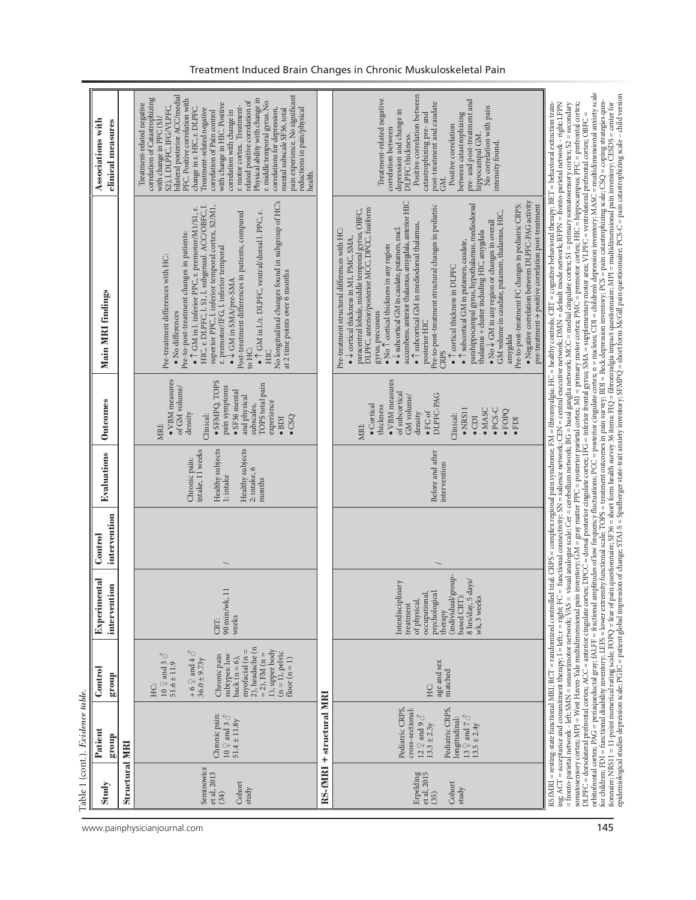|                                                      | Table 1 (cont.). Evidence table.                                                                                                                                                                                                                                            |                                                                                                                                              |                                                                                                                                                                     |                         |                                                                                                                      |                                                                                                                                                                                                                                                      |                                                                                                                                                                                                                                                                                                                                                                                                                                                                                                                                                                                                                                                                                                                                                                                                                                                                                                                                                                                                                                                                                                                                                                                                                                                                     |                                                                                                                                                                                                                                                                                                                                                                                                                                                                                                                                                                                                                                     |
|------------------------------------------------------|-----------------------------------------------------------------------------------------------------------------------------------------------------------------------------------------------------------------------------------------------------------------------------|----------------------------------------------------------------------------------------------------------------------------------------------|---------------------------------------------------------------------------------------------------------------------------------------------------------------------|-------------------------|----------------------------------------------------------------------------------------------------------------------|------------------------------------------------------------------------------------------------------------------------------------------------------------------------------------------------------------------------------------------------------|---------------------------------------------------------------------------------------------------------------------------------------------------------------------------------------------------------------------------------------------------------------------------------------------------------------------------------------------------------------------------------------------------------------------------------------------------------------------------------------------------------------------------------------------------------------------------------------------------------------------------------------------------------------------------------------------------------------------------------------------------------------------------------------------------------------------------------------------------------------------------------------------------------------------------------------------------------------------------------------------------------------------------------------------------------------------------------------------------------------------------------------------------------------------------------------------------------------------------------------------------------------------|-------------------------------------------------------------------------------------------------------------------------------------------------------------------------------------------------------------------------------------------------------------------------------------------------------------------------------------------------------------------------------------------------------------------------------------------------------------------------------------------------------------------------------------------------------------------------------------------------------------------------------------|
| Study                                                | Patient<br>dno.rst                                                                                                                                                                                                                                                          | Control<br>group                                                                                                                             | Experimental<br>intervention                                                                                                                                        | intervention<br>Control | Evaluations                                                                                                          | <b>Outcomes</b>                                                                                                                                                                                                                                      | Main MRI findings                                                                                                                                                                                                                                                                                                                                                                                                                                                                                                                                                                                                                                                                                                                                                                                                                                                                                                                                                                                                                                                                                                                                                                                                                                                   | Associations with<br>clinical measures                                                                                                                                                                                                                                                                                                                                                                                                                                                                                                                                                                                              |
| <b>Structural MRI</b>                                |                                                                                                                                                                                                                                                                             |                                                                                                                                              |                                                                                                                                                                     |                         |                                                                                                                      |                                                                                                                                                                                                                                                      |                                                                                                                                                                                                                                                                                                                                                                                                                                                                                                                                                                                                                                                                                                                                                                                                                                                                                                                                                                                                                                                                                                                                                                                                                                                                     |                                                                                                                                                                                                                                                                                                                                                                                                                                                                                                                                                                                                                                     |
| Seminowicz<br>et al, 2013<br>Cohort<br>study<br>(34) | Chronic pain:<br>$\begin{array}{l} 10\mathrel{\mathop{\triangle}\hspace{0.5ex}\mathop{\triangle}\hspace{0.5ex}} 11.8y\\ 51.4\pm11.8y \end{array}$                                                                                                                           | 2), headache (n<br>$=$ 2), FM (n $=$<br>1), upper body<br>$myofacial (n =$<br>                                                               | 90 min/wk, 1<br>weeks<br>CBT:                                                                                                                                       |                         | Healthy subjects<br>intake, 11 weeks<br>Healthy subjects<br>Chronic pain:<br>$2:$ intake, $6$<br>1: intake<br>months | $\bullet$ VBM measures<br>• SFMPQ, TOPS<br>TOPS total pain<br>pain symptoms<br>of GM volume/<br>$\bullet$ SF36 mental<br>and physical<br>experience<br>subscales,<br>density<br>Clinical:<br>$\bullet$ CSQ<br>$\bullet$ BDI<br>MRI:                  | No longitudinal changes found in subgroup of HC's<br>superior PPC, l. inferior temporal cortex, S2/M1,<br>HIC, r. DLPFC, l. S1, l. subgenual. ACC/OBFC, l.<br>$\bullet$ $\uparrow$ GM in l. inferior PPC, r. premotor/M1/S1, r.<br>$\bullet$ $\uparrow$ GM in l./r. DLPFC, ventral/dorsal l. PPC, r.<br>Post-treatment differences in patients, compared<br>Pre-to-post-treatment changes in patients:<br>r. premotor/IFG, l. inferior temporal<br>Pre-treatment differences with HC:<br>at 2 time points over 6 months<br>$\bullet \downarrow$ GM in SMA/pre-SMA<br>$\bullet$ No differences<br>to HC:<br>HIC                                                                                                                                                                                                                                                                                                                                                                                                                                                                                                                                                                                                                                                      | bilateral posterior ACC/medial<br>pain experience. No significant<br>correlation of Catastrophizing<br>Physical ability with change in<br>PFC. Positive correlation with<br>related positive correlation of<br>r. middle temporal gyrus. No<br>Treatment-related negative<br>with change in HIC. Positive<br>S2), l. DLPFC, IFG/VLPFC,<br>r. motor cortex. Treatment-<br>change in r. HIC, r. DLPFC.<br>reductions in pain/physical<br>Treatment-related negative<br>correlations for depression,<br>mental subscale SF36, total<br>correlation with change in<br>correlation of Pain control<br>with change in PPC (S1/<br>health. |
|                                                      | RS-fMRI + structural MRI                                                                                                                                                                                                                                                    |                                                                                                                                              |                                                                                                                                                                     |                         |                                                                                                                      |                                                                                                                                                                                                                                                      |                                                                                                                                                                                                                                                                                                                                                                                                                                                                                                                                                                                                                                                                                                                                                                                                                                                                                                                                                                                                                                                                                                                                                                                                                                                                     |                                                                                                                                                                                                                                                                                                                                                                                                                                                                                                                                                                                                                                     |
| Erpelding<br>et al, 2015<br>Cohort<br>study<br>(35)  | Pediatric CRPS,<br>cross-sectional:<br>Pediatric CRPS,<br>$12 \mathop{\odot}\limits_{13.3 \pm 2.5 \gamma} \text{and} 9 \mathop{\odot}\limits^\gamma$<br>$13 \nvert\begin{array}{l}\n2 \text{ and } 7 \text{ }\delta \\ 13.5 \pm 2.4 \text{y}\n\end{array}$<br>longitudinal: | age and sex<br>matched<br><u>Сі</u>                                                                                                          | (individual/group-<br>8 hrs/day, 5 days/<br>Interdisciplinary<br>occupational<br>psychologica<br>based CBT):<br>wk, 3 weeks<br>of physical,<br>treatment<br>therapy |                         | Before and after<br>intervention                                                                                     | $\bullet$ VBM measures<br>of subcortical<br>DLPFC-PAG<br>GM volume/<br>$\bullet$ Cortical<br>thickness<br>$\bullet$ MASC<br>$\bullet$ NRS11<br>$-SCS-C$<br>OPOP<br>density<br>$\bullet$ FC of<br>Clinical:<br>$\bullet$ CDI<br>$\bullet$ FDI<br>MRI: | · Negative correlation between DLPFC-PAG activity<br>accumbens, anterior thalamus, amygdala, anterior HIC<br>Pre-to-post-treatment FC changes in pediatric CRPS:<br>parahippocampal gyrus, hypothalamus, mediodorsal<br>Pre-to-post-treatment structural changes in pediatric<br>pre-treatment $\rightarrow$ positive correlation post-treatment<br>paracentral lobule, middle temporal gyrus, OBFC,<br>DLPFC, anterior/posterior MCC, DPCC, fusiform<br>GM volume in caudate, putamen, thalamus, HIC,<br>$\bullet$ No $\downarrow$ GM in any region or changes in overall<br>$\bullet$ $\uparrow$ subcortical GM in mediodorsal thalamus,<br>Pre-treatment structural differences with HC:<br>$\bullet \downarrow$ subcortical GM in caudate, putamen, nucl.<br>thalamus + cluster including HIC, amygdala<br>$\bullet \downarrow$ cortical thickness in M1, PMC, SMA,<br>$\bullet$ $\uparrow$ subcortical GM in putamen, caudate,<br>$\bullet$ No $\uparrow$ cortical thickness in any region<br>$\bullet$ $\uparrow$ cortical thickness in DLPFC<br>gyrus, precuneus<br>posterior HIC<br>amygdala<br>CRPS                                                                                                                                                        | Positive correlation between<br>Treatment-related negative<br>pre- and post-treatment and<br>post-treatment and caudate<br>No correlation with pain<br>depression and change in<br>between catastrophizing<br>catastrophizing pre- and<br>Positive correlation<br>correlation between<br>hippocampal GM.<br>DLPFC thickness.<br>intensity found.<br>GM.                                                                                                                                                                                                                                                                             |
|                                                      |                                                                                                                                                                                                                                                                             | RS fMRI = resting-state functional MRI; RCT = randomized controlled<br>$=$ fronto-parietal network - left; SMN = sensorimotor network; VAS = |                                                                                                                                                                     |                         |                                                                                                                      |                                                                                                                                                                                                                                                      | orbitofrontal cortex; PAG = periaqueductal gray; fALFF = fractional amplitudes of low frequency fluctuations; PCC = posterior cingulate cortex; n = nucleus; CDI = children's depression inventory; MASC = multidimensional an<br>for children; FDI = functional disability inventory; LEFS = lower extremity functional scale; TOPS = reatment outcomes in pain survey; BDI = Beck depression inventory; PCS = pain catastrophizing scale; CSQ = coping strateg<br>trial; CRPS = complex regional pain syndrome; FM = fibromyalgia; HC = healthy controls; CBT = cognitive behavioral therapy; BET = behavioral extinction train-<br>ing; ACT = acceptance and commitment therapy; l = left; r = right; FC = functional connectivity; SN = salience network; CEN = central executive network; DMN = default mode network; RFPN = fronto-parietal network - right;<br>somatosensory cortex, MPI = West Haven-Yale multidimensional pain inventory, GM = gray matter PPC = posterior parietal cortex; Mi⊂ = primary motor cortex; PMC = premotor cortex; HIC = hippocampus; PFC = prefrontal cortex<br>visual analogue scale; Cer = cerebellum network; BG = basal ganglia network; MCC = medial cingulate cortex; S1 = primary somatosensory cortex; S2 = secondary |                                                                                                                                                                                                                                                                                                                                                                                                                                                                                                                                                                                                                                     |

# Treatment Induced Brain Changes in Chronic Muskuloskeletal Pain

www.painphysicianjournal.com **145**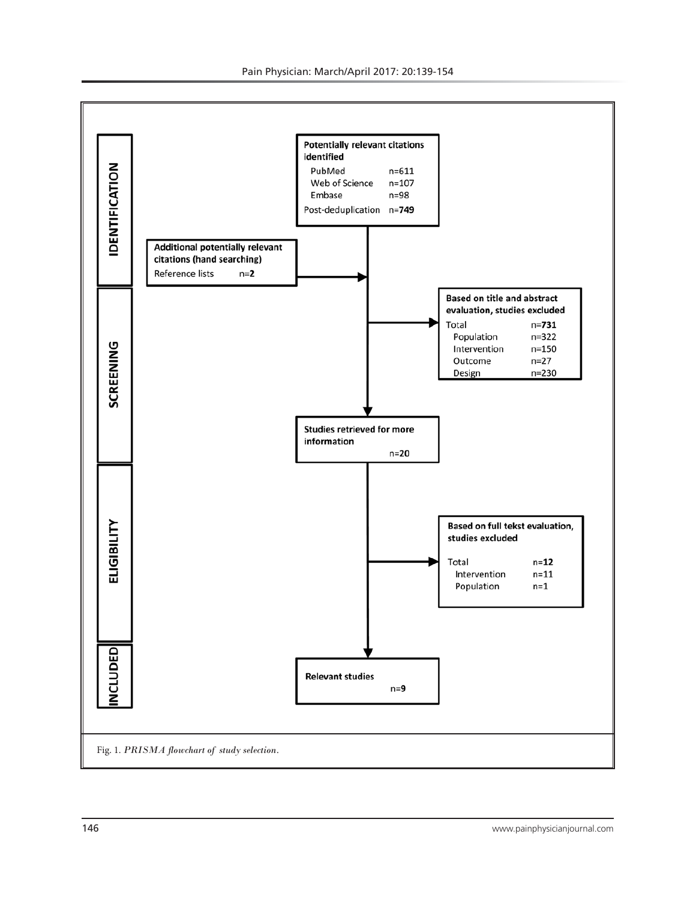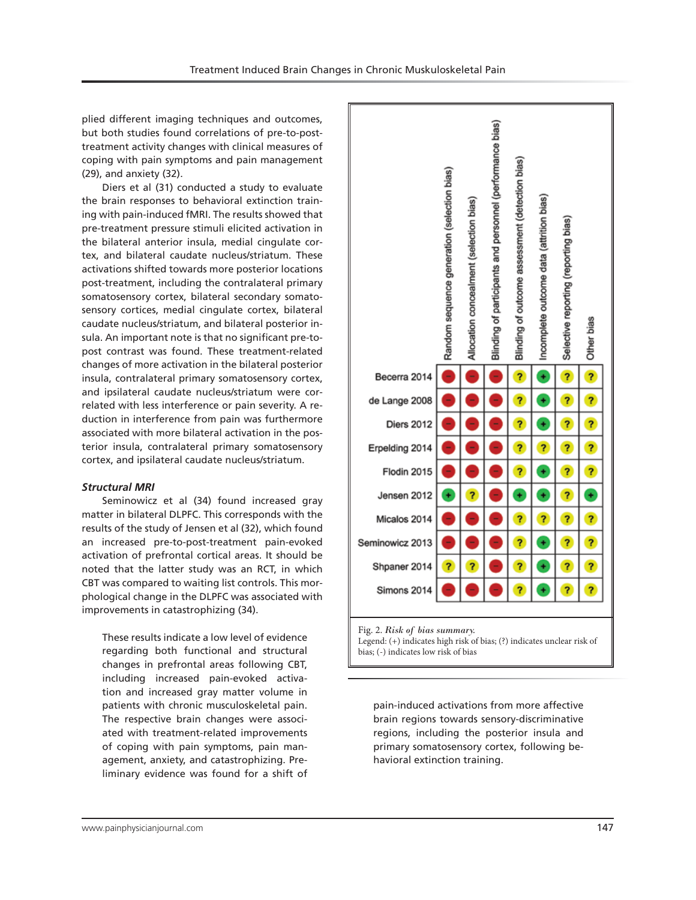plied different imaging techniques and outcomes, but both studies found correlations of pre-to-posttreatment activity changes with clinical measures of coping with pain symptoms and pain management (29), and anxiety (32).

Diers et al (31) conducted a study to evaluate the brain responses to behavioral extinction training with pain-induced fMRI. The results showed that pre-treatment pressure stimuli elicited activation in the bilateral anterior insula, medial cingulate cortex, and bilateral caudate nucleus/striatum. These activations shifted towards more posterior locations post-treatment, including the contralateral primary somatosensory cortex, bilateral secondary somatosensory cortices, medial cingulate cortex, bilateral caudate nucleus/striatum, and bilateral posterior insula. An important note is that no significant pre-topost contrast was found. These treatment-related changes of more activation in the bilateral posterior insula, contralateral primary somatosensory cortex, and ipsilateral caudate nucleus/striatum were correlated with less interference or pain severity. A reduction in interference from pain was furthermore associated with more bilateral activation in the posterior insula, contralateral primary somatosensory cortex, and ipsilateral caudate nucleus/striatum.

# *Structural MRI*

Seminowicz et al (34) found increased gray matter in bilateral DLPFC. This corresponds with the results of the study of Jensen et al (32), which found an increased pre-to-post-treatment pain-evoked activation of prefrontal cortical areas. It should be noted that the latter study was an RCT, in which CBT was compared to waiting list controls. This morphological change in the DLPFC was associated with improvements in catastrophizing (34).

These results indicate a low level of evidence regarding both functional and structural changes in prefrontal areas following CBT, including increased pain-evoked activation and increased gray matter volume in patients with chronic musculoskeletal pain. The respective brain changes were associated with treatment-related improvements of coping with pain symptoms, pain management, anxiety, and catastrophizing. Preliminary evidence was found for a shift of



Legend: (+) indicates high risk of bias; (?) indicates unclear risk of bias; (-) indicates low risk of bias

pain-induced activations from more affective brain regions towards sensory-discriminative regions, including the posterior insula and primary somatosensory cortex, following behavioral extinction training.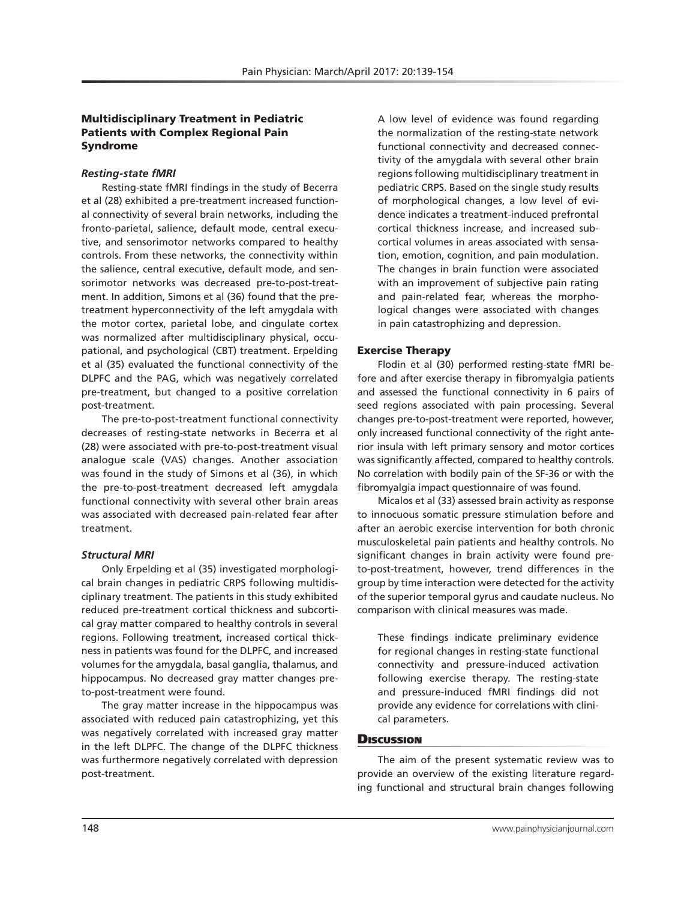# Multidisciplinary Treatment in Pediatric Patients with Complex Regional Pain Syndrome

#### *Resting-state fMRI*

Resting-state fMRI findings in the study of Becerra et al (28) exhibited a pre-treatment increased functional connectivity of several brain networks, including the fronto-parietal, salience, default mode, central executive, and sensorimotor networks compared to healthy controls. From these networks, the connectivity within the salience, central executive, default mode, and sensorimotor networks was decreased pre-to-post-treatment. In addition, Simons et al (36) found that the pretreatment hyperconnectivity of the left amygdala with the motor cortex, parietal lobe, and cingulate cortex was normalized after multidisciplinary physical, occupational, and psychological (CBT) treatment. Erpelding et al (35) evaluated the functional connectivity of the DLPFC and the PAG, which was negatively correlated pre-treatment, but changed to a positive correlation post-treatment.

The pre-to-post-treatment functional connectivity decreases of resting-state networks in Becerra et al (28) were associated with pre-to-post-treatment visual analogue scale (VAS) changes. Another association was found in the study of Simons et al (36), in which the pre-to-post-treatment decreased left amygdala functional connectivity with several other brain areas was associated with decreased pain-related fear after treatment.

#### *Structural MRI*

Only Erpelding et al (35) investigated morphological brain changes in pediatric CRPS following multidisciplinary treatment. The patients in this study exhibited reduced pre-treatment cortical thickness and subcortical gray matter compared to healthy controls in several regions. Following treatment, increased cortical thickness in patients was found for the DLPFC, and increased volumes for the amygdala, basal ganglia, thalamus, and hippocampus. No decreased gray matter changes preto-post-treatment were found.

The gray matter increase in the hippocampus was associated with reduced pain catastrophizing, yet this was negatively correlated with increased gray matter in the left DLPFC. The change of the DLPFC thickness was furthermore negatively correlated with depression post-treatment.

A low level of evidence was found regarding the normalization of the resting-state network functional connectivity and decreased connectivity of the amygdala with several other brain regions following multidisciplinary treatment in pediatric CRPS. Based on the single study results of morphological changes, a low level of evidence indicates a treatment-induced prefrontal cortical thickness increase, and increased subcortical volumes in areas associated with sensation, emotion, cognition, and pain modulation. The changes in brain function were associated with an improvement of subjective pain rating and pain-related fear, whereas the morphological changes were associated with changes in pain catastrophizing and depression.

#### Exercise Therapy

Flodin et al (30) performed resting-state fMRI before and after exercise therapy in fibromyalgia patients and assessed the functional connectivity in 6 pairs of seed regions associated with pain processing. Several changes pre-to-post-treatment were reported, however, only increased functional connectivity of the right anterior insula with left primary sensory and motor cortices was significantly affected, compared to healthy controls. No correlation with bodily pain of the SF-36 or with the fibromyalgia impact questionnaire of was found.

Micalos et al (33) assessed brain activity as response to innocuous somatic pressure stimulation before and after an aerobic exercise intervention for both chronic musculoskeletal pain patients and healthy controls. No significant changes in brain activity were found preto-post-treatment, however, trend differences in the group by time interaction were detected for the activity of the superior temporal gyrus and caudate nucleus. No comparison with clinical measures was made.

These findings indicate preliminary evidence for regional changes in resting-state functional connectivity and pressure-induced activation following exercise therapy. The resting-state and pressure-induced fMRI findings did not provide any evidence for correlations with clinical parameters.

#### **Discussion**

The aim of the present systematic review was to provide an overview of the existing literature regarding functional and structural brain changes following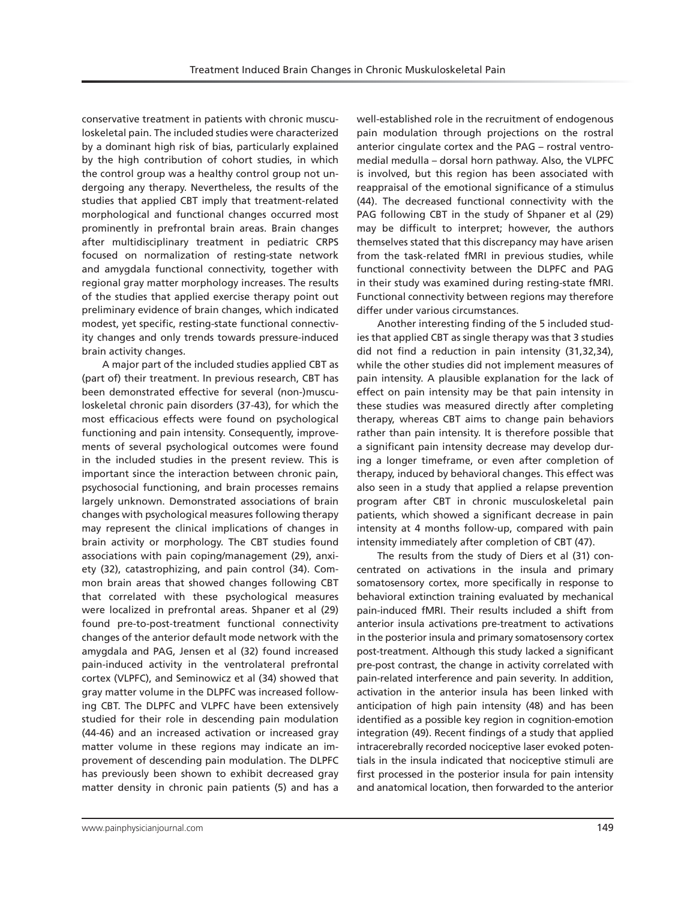conservative treatment in patients with chronic musculoskeletal pain. The included studies were characterized by a dominant high risk of bias, particularly explained by the high contribution of cohort studies, in which the control group was a healthy control group not undergoing any therapy. Nevertheless, the results of the studies that applied CBT imply that treatment-related morphological and functional changes occurred most prominently in prefrontal brain areas. Brain changes after multidisciplinary treatment in pediatric CRPS focused on normalization of resting-state network and amygdala functional connectivity, together with regional gray matter morphology increases. The results of the studies that applied exercise therapy point out preliminary evidence of brain changes, which indicated modest, yet specific, resting-state functional connectivity changes and only trends towards pressure-induced brain activity changes.

A major part of the included studies applied CBT as (part of) their treatment. In previous research, CBT has been demonstrated effective for several (non-)musculoskeletal chronic pain disorders (37-43), for which the most efficacious effects were found on psychological functioning and pain intensity. Consequently, improvements of several psychological outcomes were found in the included studies in the present review. This is important since the interaction between chronic pain, psychosocial functioning, and brain processes remains largely unknown. Demonstrated associations of brain changes with psychological measures following therapy may represent the clinical implications of changes in brain activity or morphology. The CBT studies found associations with pain coping/management (29), anxiety (32), catastrophizing, and pain control (34). Common brain areas that showed changes following CBT that correlated with these psychological measures were localized in prefrontal areas. Shpaner et al (29) found pre-to-post-treatment functional connectivity changes of the anterior default mode network with the amygdala and PAG, Jensen et al (32) found increased pain-induced activity in the ventrolateral prefrontal cortex (VLPFC), and Seminowicz et al (34) showed that gray matter volume in the DLPFC was increased following CBT. The DLPFC and VLPFC have been extensively studied for their role in descending pain modulation (44-46) and an increased activation or increased gray matter volume in these regions may indicate an improvement of descending pain modulation. The DLPFC has previously been shown to exhibit decreased gray matter density in chronic pain patients (5) and has a

well-established role in the recruitment of endogenous pain modulation through projections on the rostral anterior cingulate cortex and the PAG – rostral ventromedial medulla – dorsal horn pathway. Also, the VLPFC is involved, but this region has been associated with reappraisal of the emotional significance of a stimulus (44). The decreased functional connectivity with the PAG following CBT in the study of Shpaner et al (29) may be difficult to interpret; however, the authors themselves stated that this discrepancy may have arisen from the task-related fMRI in previous studies, while functional connectivity between the DLPFC and PAG in their study was examined during resting-state fMRI. Functional connectivity between regions may therefore differ under various circumstances.

Another interesting finding of the 5 included studies that applied CBT as single therapy was that 3 studies did not find a reduction in pain intensity (31,32,34), while the other studies did not implement measures of pain intensity. A plausible explanation for the lack of effect on pain intensity may be that pain intensity in these studies was measured directly after completing therapy, whereas CBT aims to change pain behaviors rather than pain intensity. It is therefore possible that a significant pain intensity decrease may develop during a longer timeframe, or even after completion of therapy, induced by behavioral changes. This effect was also seen in a study that applied a relapse prevention program after CBT in chronic musculoskeletal pain patients, which showed a significant decrease in pain intensity at 4 months follow-up, compared with pain intensity immediately after completion of CBT (47).

The results from the study of Diers et al (31) concentrated on activations in the insula and primary somatosensory cortex, more specifically in response to behavioral extinction training evaluated by mechanical pain-induced fMRI. Their results included a shift from anterior insula activations pre-treatment to activations in the posterior insula and primary somatosensory cortex post-treatment. Although this study lacked a significant pre-post contrast, the change in activity correlated with pain-related interference and pain severity. In addition, activation in the anterior insula has been linked with anticipation of high pain intensity (48) and has been identified as a possible key region in cognition-emotion integration (49). Recent findings of a study that applied intracerebrally recorded nociceptive laser evoked potentials in the insula indicated that nociceptive stimuli are first processed in the posterior insula for pain intensity and anatomical location, then forwarded to the anterior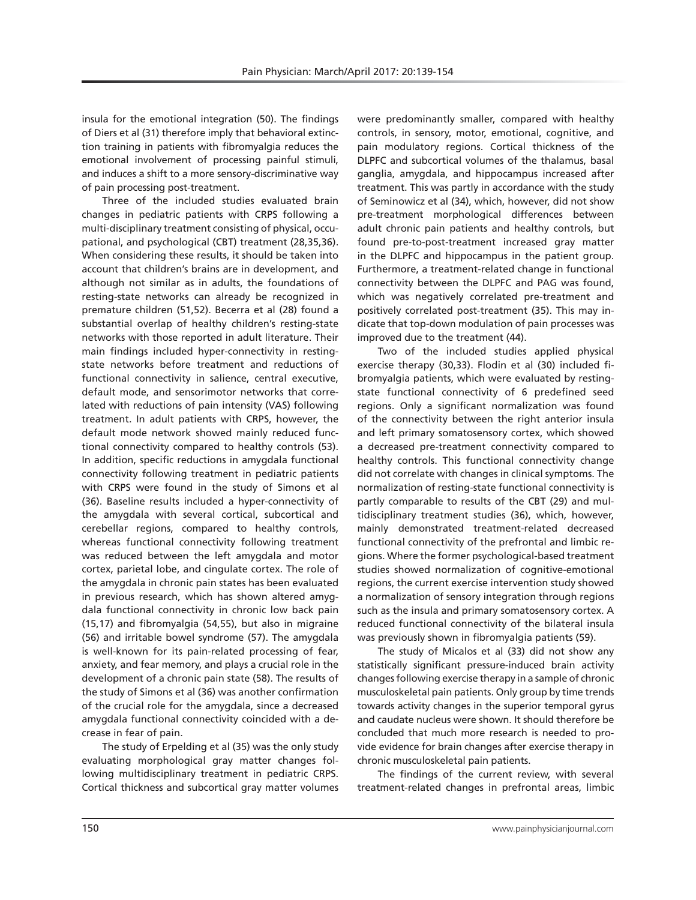insula for the emotional integration (50). The findings of Diers et al (31) therefore imply that behavioral extinction training in patients with fibromyalgia reduces the emotional involvement of processing painful stimuli, and induces a shift to a more sensory-discriminative way of pain processing post-treatment.

Three of the included studies evaluated brain changes in pediatric patients with CRPS following a multi-disciplinary treatment consisting of physical, occupational, and psychological (CBT) treatment (28,35,36). When considering these results, it should be taken into account that children's brains are in development, and although not similar as in adults, the foundations of resting-state networks can already be recognized in premature children (51,52). Becerra et al (28) found a substantial overlap of healthy children's resting-state networks with those reported in adult literature. Their main findings included hyper-connectivity in restingstate networks before treatment and reductions of functional connectivity in salience, central executive, default mode, and sensorimotor networks that correlated with reductions of pain intensity (VAS) following treatment. In adult patients with CRPS, however, the default mode network showed mainly reduced functional connectivity compared to healthy controls (53). In addition, specific reductions in amygdala functional connectivity following treatment in pediatric patients with CRPS were found in the study of Simons et al (36). Baseline results included a hyper-connectivity of the amygdala with several cortical, subcortical and cerebellar regions, compared to healthy controls, whereas functional connectivity following treatment was reduced between the left amygdala and motor cortex, parietal lobe, and cingulate cortex. The role of the amygdala in chronic pain states has been evaluated in previous research, which has shown altered amygdala functional connectivity in chronic low back pain (15,17) and fibromyalgia (54,55), but also in migraine (56) and irritable bowel syndrome (57). The amygdala is well-known for its pain-related processing of fear, anxiety, and fear memory, and plays a crucial role in the development of a chronic pain state (58). The results of the study of Simons et al (36) was another confirmation of the crucial role for the amygdala, since a decreased amygdala functional connectivity coincided with a decrease in fear of pain.

The study of Erpelding et al (35) was the only study evaluating morphological gray matter changes following multidisciplinary treatment in pediatric CRPS. Cortical thickness and subcortical gray matter volumes were predominantly smaller, compared with healthy controls, in sensory, motor, emotional, cognitive, and pain modulatory regions. Cortical thickness of the DLPFC and subcortical volumes of the thalamus, basal ganglia, amygdala, and hippocampus increased after treatment. This was partly in accordance with the study of Seminowicz et al (34), which, however, did not show pre-treatment morphological differences between adult chronic pain patients and healthy controls, but found pre-to-post-treatment increased gray matter in the DLPFC and hippocampus in the patient group. Furthermore, a treatment-related change in functional connectivity between the DLPFC and PAG was found, which was negatively correlated pre-treatment and positively correlated post-treatment (35). This may indicate that top-down modulation of pain processes was improved due to the treatment (44).

Two of the included studies applied physical exercise therapy (30,33). Flodin et al (30) included fibromyalgia patients, which were evaluated by restingstate functional connectivity of 6 predefined seed regions. Only a significant normalization was found of the connectivity between the right anterior insula and left primary somatosensory cortex, which showed a decreased pre-treatment connectivity compared to healthy controls. This functional connectivity change did not correlate with changes in clinical symptoms. The normalization of resting-state functional connectivity is partly comparable to results of the CBT (29) and multidisciplinary treatment studies (36), which, however, mainly demonstrated treatment-related decreased functional connectivity of the prefrontal and limbic regions. Where the former psychological-based treatment studies showed normalization of cognitive-emotional regions, the current exercise intervention study showed a normalization of sensory integration through regions such as the insula and primary somatosensory cortex. A reduced functional connectivity of the bilateral insula was previously shown in fibromyalgia patients (59).

The study of Micalos et al (33) did not show any statistically significant pressure-induced brain activity changes following exercise therapy in a sample of chronic musculoskeletal pain patients. Only group by time trends towards activity changes in the superior temporal gyrus and caudate nucleus were shown. It should therefore be concluded that much more research is needed to provide evidence for brain changes after exercise therapy in chronic musculoskeletal pain patients.

The findings of the current review, with several treatment-related changes in prefrontal areas, limbic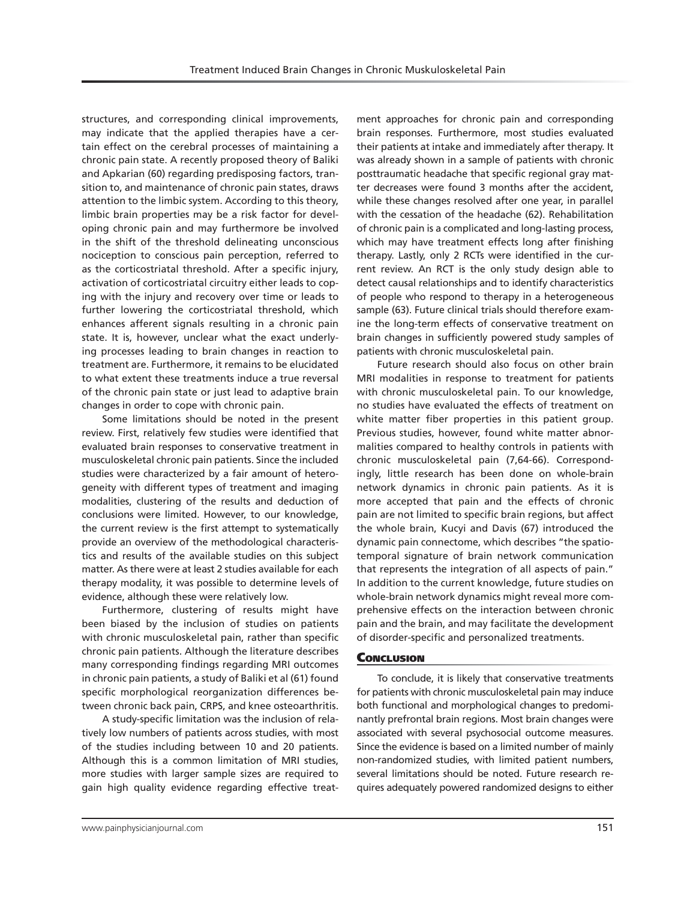structures, and corresponding clinical improvements, may indicate that the applied therapies have a certain effect on the cerebral processes of maintaining a chronic pain state. A recently proposed theory of Baliki and Apkarian (60) regarding predisposing factors, transition to, and maintenance of chronic pain states, draws attention to the limbic system. According to this theory, limbic brain properties may be a risk factor for developing chronic pain and may furthermore be involved in the shift of the threshold delineating unconscious nociception to conscious pain perception, referred to as the corticostriatal threshold. After a specific injury, activation of corticostriatal circuitry either leads to coping with the injury and recovery over time or leads to further lowering the corticostriatal threshold, which enhances afferent signals resulting in a chronic pain state. It is, however, unclear what the exact underlying processes leading to brain changes in reaction to treatment are. Furthermore, it remains to be elucidated to what extent these treatments induce a true reversal of the chronic pain state or just lead to adaptive brain changes in order to cope with chronic pain.

Some limitations should be noted in the present review. First, relatively few studies were identified that evaluated brain responses to conservative treatment in musculoskeletal chronic pain patients. Since the included studies were characterized by a fair amount of heterogeneity with different types of treatment and imaging modalities, clustering of the results and deduction of conclusions were limited. However, to our knowledge, the current review is the first attempt to systematically provide an overview of the methodological characteristics and results of the available studies on this subject matter. As there were at least 2 studies available for each therapy modality, it was possible to determine levels of evidence, although these were relatively low.

Furthermore, clustering of results might have been biased by the inclusion of studies on patients with chronic musculoskeletal pain, rather than specific chronic pain patients. Although the literature describes many corresponding findings regarding MRI outcomes in chronic pain patients, a study of Baliki et al (61) found specific morphological reorganization differences between chronic back pain, CRPS, and knee osteoarthritis.

A study-specific limitation was the inclusion of relatively low numbers of patients across studies, with most of the studies including between 10 and 20 patients. Although this is a common limitation of MRI studies, more studies with larger sample sizes are required to gain high quality evidence regarding effective treat-

ment approaches for chronic pain and corresponding brain responses. Furthermore, most studies evaluated their patients at intake and immediately after therapy. It was already shown in a sample of patients with chronic posttraumatic headache that specific regional gray matter decreases were found 3 months after the accident, while these changes resolved after one year, in parallel with the cessation of the headache (62). Rehabilitation of chronic pain is a complicated and long-lasting process, which may have treatment effects long after finishing therapy. Lastly, only 2 RCTs were identified in the current review. An RCT is the only study design able to detect causal relationships and to identify characteristics of people who respond to therapy in a heterogeneous sample (63). Future clinical trials should therefore examine the long-term effects of conservative treatment on brain changes in sufficiently powered study samples of patients with chronic musculoskeletal pain.

Future research should also focus on other brain MRI modalities in response to treatment for patients with chronic musculoskeletal pain. To our knowledge, no studies have evaluated the effects of treatment on white matter fiber properties in this patient group. Previous studies, however, found white matter abnormalities compared to healthy controls in patients with chronic musculoskeletal pain (7,64-66). Correspondingly, little research has been done on whole-brain network dynamics in chronic pain patients. As it is more accepted that pain and the effects of chronic pain are not limited to specific brain regions, but affect the whole brain, Kucyi and Davis (67) introduced the dynamic pain connectome, which describes "the spatiotemporal signature of brain network communication that represents the integration of all aspects of pain." In addition to the current knowledge, future studies on whole-brain network dynamics might reveal more comprehensive effects on the interaction between chronic pain and the brain, and may facilitate the development of disorder-specific and personalized treatments.

#### **CONCLUSION**

To conclude, it is likely that conservative treatments for patients with chronic musculoskeletal pain may induce both functional and morphological changes to predominantly prefrontal brain regions. Most brain changes were associated with several psychosocial outcome measures. Since the evidence is based on a limited number of mainly non-randomized studies, with limited patient numbers, several limitations should be noted. Future research requires adequately powered randomized designs to either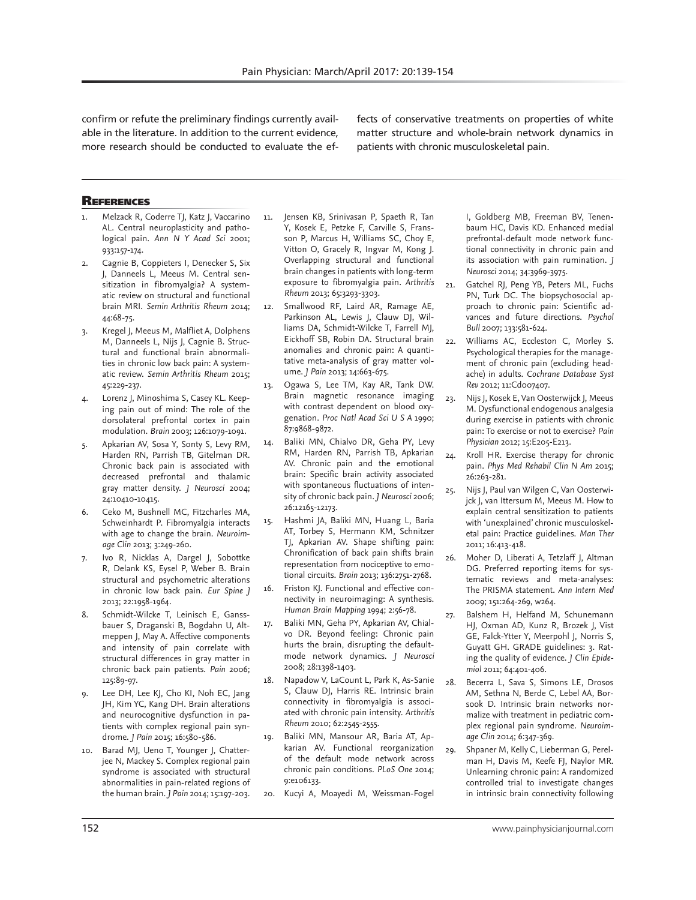confirm or refute the preliminary findings currently available in the literature. In addition to the current evidence, more research should be conducted to evaluate the effects of conservative treatments on properties of white matter structure and whole-brain network dynamics in patients with chronic musculoskeletal pain.

# **REFERENCES**

- 1. Melzack R, Coderre TJ, Katz J, Vaccarino AL. Central neuroplasticity and pathological pain. *Ann N Y Acad Sci* 2001; 933:157-174.
- Cagnie B, Coppieters I, Denecker S, Six J, Danneels L, Meeus M. Central sensitization in fibromyalgia? A systematic review on structural and functional brain MRI. *Semin Arthritis Rheum* 2014; 44:68-75.
- 3. Kregel J, Meeus M, Malfliet A, Dolphens M, Danneels L, Nijs J, Cagnie B. Structural and functional brain abnormalities in chronic low back pain: A systematic review. *Semin Arthritis Rheum* 2015; 45:229-237.
- Lorenz J, Minoshima S, Casey KL. Keeping pain out of mind: The role of the dorsolateral prefrontal cortex in pain modulation. *Brain* 2003; 126:1079-1091.
- 5. Apkarian AV, Sosa Y, Sonty S, Levy RM, Harden RN, Parrish TB, Gitelman DR. Chronic back pain is associated with decreased prefrontal and thalamic gray matter density. *J Neurosci* 2004; 24:10410-10415.
- 6. Ceko M, Bushnell MC, Fitzcharles MA, Schweinhardt P. Fibromyalgia interacts with age to change the brain. *Neuroimage Clin* 2013; 3:249-260.
- 7. Ivo R, Nicklas A, Dargel J, Sobottke R, Delank KS, Eysel P, Weber B. Brain structural and psychometric alterations in chronic low back pain. *Eur Spine J*  2013; 22:1958-1964.
- Schmidt-Wilcke T, Leinisch E, Ganssbauer S, Draganski B, Bogdahn U, Altmeppen J, May A. Affective components and intensity of pain correlate with structural differences in gray matter in chronic back pain patients. *Pain* 2006; 125:89-97.
- Lee DH, Lee KJ, Cho KI, Noh EC, Jang JH, Kim YC, Kang DH. Brain alterations and neurocognitive dysfunction in patients with complex regional pain syndrome. *J Pain* 2015; 16:580-586.
- 10. Barad MJ, Ueno T, Younger J, Chatterjee N, Mackey S. Complex regional pain syndrome is associated with structural abnormalities in pain-related regions of the human brain. *J Pain* 2014; 15:197-203.
- 11. Jensen KB, Srinivasan P, Spaeth R, Tan Y, Kosek E, Petzke F, Carville S, Fransson P, Marcus H, Williams SC, Choy E, Vitton O, Gracely R, Ingvar M, Kong J. Overlapping structural and functional brain changes in patients with long-term exposure to fibromyalgia pain. *Arthritis Rheum* 2013; 65:3293-3303.
- 12. Smallwood RF, Laird AR, Ramage AE, Parkinson AL, Lewis J, Clauw DJ, Williams DA, Schmidt-Wilcke T, Farrell MJ, Eickhoff SB, Robin DA. Structural brain anomalies and chronic pain: A quantitative meta-analysis of gray matter volume. *J Pain* 2013; 14:663-675.
- 13. Ogawa S, Lee TM, Kay AR, Tank DW. Brain magnetic resonance imaging with contrast dependent on blood oxygenation. *Proc Natl Acad Sci U S A* 1990; 87:9868-9872.
- 14. Baliki MN, Chialvo DR, Geha PY, Levy RM, Harden RN, Parrish TB, Apkarian AV. Chronic pain and the emotional brain: Specific brain activity associated with spontaneous fluctuations of intensity of chronic back pain. *J Neurosci* 2006; 26:12165-12173.
- 15. Hashmi JA, Baliki MN, Huang L, Baria AT, Torbey S, Hermann KM, Schnitzer TJ, Apkarian AV. Shape shifting pain: Chronification of back pain shifts brain representation from nociceptive to emotional circuits. *Brain* 2013; 136:2751-2768.
- 16. Friston KJ. Functional and effective connectivity in neuroimaging: A synthesis. *Human Brain Mapping* 1994; 2:56-78.
- 17. Baliki MN, Geha PY, Apkarian AV, Chialvo DR. Beyond feeling: Chronic pain hurts the brain, disrupting the defaultmode network dynamics. *J Neurosci*  2008; 28:1398-1403.
- 18. Napadow V, LaCount L, Park K, As-Sanie S, Clauw DJ, Harris RE. Intrinsic brain connectivity in fibromyalgia is associated with chronic pain intensity. *Arthritis Rheum* 2010; 62:2545-2555.
- 19. Baliki MN, Mansour AR, Baria AT, Apkarian AV. Functional reorganization of the default mode network across chronic pain conditions. *PLoS One* 2014; 9:e106133.
- 20. Kucyi A, Moayedi M, Weissman-Fogel

I, Goldberg MB, Freeman BV, Tenenbaum HC, Davis KD. Enhanced medial prefrontal-default mode network functional connectivity in chronic pain and its association with pain rumination. *J Neurosci* 2014; 34:3969-3975.

- 21. Gatchel RJ, Peng YB, Peters ML, Fuchs PN, Turk DC. The biopsychosocial approach to chronic pain: Scientific advances and future directions. *Psychol Bull* 2007; 133:581-624.
- 22. Williams AC, Eccleston C, Morley S. Psychological therapies for the management of chronic pain (excluding headache) in adults. *Cochrane Database Syst Rev* 2012; 11:Cd007407.
- 23. Nijs J, Kosek E, Van Oosterwijck J, Meeus M. Dysfunctional endogenous analgesia during exercise in patients with chronic pain: To exercise or not to exercise? *Pain Physician* 2012; 15:E205-E213.
- 24. Kroll HR. Exercise therapy for chronic pain. *Phys Med Rehabil Clin N Am* 2015; 26:263-281.
- 25. Nijs J, Paul van Wilgen C, Van Oosterwijck J, van Ittersum M, Meeus M. How to explain central sensitization to patients with 'unexplained' chronic musculoskeletal pain: Practice guidelines. *Man Ther*  2011; 16:413-418.
- 26. Moher D, Liberati A, Tetzlaff J, Altman DG. Preferred reporting items for systematic reviews and meta-analyses: The PRISMA statement. *Ann Intern Med*  2009; 151:264-269, w264.
- 27. Balshem H, Helfand M, Schunemann HJ, Oxman AD, Kunz R, Brozek J, Vist GE, Falck-Ytter Y, Meerpohl J, Norris S, Guyatt GH. GRADE guidelines: 3. Rating the quality of evidence. *J Clin Epidemiol* 2011; 64:401-406.
- 28. Becerra L, Sava S, Simons LE, Drosos AM, Sethna N, Berde C, Lebel AA, Borsook D. Intrinsic brain networks normalize with treatment in pediatric complex regional pain syndrome. *Neuroimage Clin* 2014; 6:347-369.
- 29. Shpaner M, Kelly C, Lieberman G, Perelman H, Davis M, Keefe FJ, Naylor MR. Unlearning chronic pain: A randomized controlled trial to investigate changes in intrinsic brain connectivity following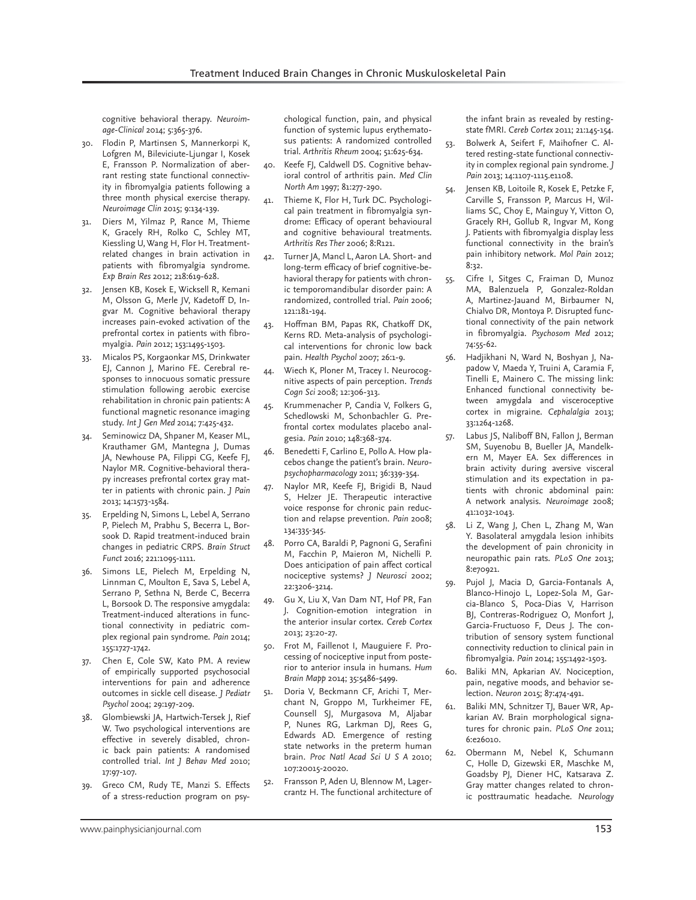cognitive behavioral therapy. *Neuroimage-Clinical* 2014; 5:365-376.

- 30. Flodin P, Martinsen S, Mannerkorpi K, Lofgren M, Bileviciute-Ljungar I, Kosek E, Fransson P. Normalization of aberrant resting state functional connectivity in fibromyalgia patients following a three month physical exercise therapy. *Neuroimage Clin* 2015; 9:134-139.
- 31. Diers M, Yilmaz P, Rance M, Thieme K, Gracely RH, Rolko C, Schley MT, Kiessling U, Wang H, Flor H. Treatmentrelated changes in brain activation in patients with fibromyalgia syndrome. *Exp Brain Res* 2012; 218:619-628.
- 32. Jensen KB, Kosek E, Wicksell R, Kemani M, Olsson G, Merle JV, Kadetoff D, Ingvar M. Cognitive behavioral therapy increases pain-evoked activation of the prefrontal cortex in patients with fibromyalgia. *Pain* 2012; 153:1495-1503.
- 33. Micalos PS, Korgaonkar MS, Drinkwater EJ, Cannon J, Marino FE. Cerebral responses to innocuous somatic pressure stimulation following aerobic exercise rehabilitation in chronic pain patients: A functional magnetic resonance imaging study. *Int J Gen Med* 2014; 7:425-432.
- 34. Seminowicz DA, Shpaner M, Keaser ML, Krauthamer GM, Mantegna J, Dumas JA, Newhouse PA, Filippi CG, Keefe FJ, Naylor MR. Cognitive-behavioral therapy increases prefrontal cortex gray matter in patients with chronic pain. *J Pain*  2013; 14:1573-1584.
- 35. Erpelding N, Simons L, Lebel A, Serrano P, Pielech M, Prabhu S, Becerra L, Borsook D. Rapid treatment-induced brain changes in pediatric CRPS. *Brain Struct Funct* 2016; 221:1095-1111.
- 36. Simons LE, Pielech M, Erpelding N, Linnman C, Moulton E, Sava S, Lebel A, Serrano P, Sethna N, Berde C, Becerra L, Borsook D. The responsive amygdala: Treatment-induced alterations in functional connectivity in pediatric complex regional pain syndrome. *Pain* 2014; 155:1727-1742.
- 37. Chen E, Cole SW, Kato PM. A review of empirically supported psychosocial interventions for pain and adherence outcomes in sickle cell disease. *J Pediatr Psychol* 2004; 29:197-209.
- 38. Glombiewski JA, Hartwich-Tersek J, Rief W. Two psychological interventions are effective in severely disabled, chronic back pain patients: A randomised controlled trial. *Int J Behav Med* 2010; 17:97-107.
- 39. Greco CM, Rudy TE, Manzi S. Effects of a stress-reduction program on psy-

chological function, pain, and physical function of systemic lupus erythematosus patients: A randomized controlled trial. *Arthritis Rheum* 2004; 51:625-634.

- 40. Keefe FJ, Caldwell DS. Cognitive behavioral control of arthritis pain. *Med Clin North Am* 1997; 81:277-290.
- Thieme K, Flor H, Turk DC. Psychological pain treatment in fibromyalgia syndrome: Efficacy of operant behavioural and cognitive behavioural treatments. *Arthritis Res Ther* 2006; 8:R121.
- 42. Turner JA, Mancl L, Aaron LA. Short- and long-term efficacy of brief cognitive-behavioral therapy for patients with chronic temporomandibular disorder pain: A randomized, controlled trial. *Pain* 2006; 121:181-194.
- 43. Hoffman BM, Papas RK, Chatkoff DK, Kerns RD. Meta-analysis of psychological interventions for chronic low back pain. *Health Psychol* 2007; 26:1-9.
- 44. Wiech K, Ploner M, Tracey I. Neurocognitive aspects of pain perception. *Trends Cogn Sci* 2008; 12:306-313.
- 45. Krummenacher P, Candia V, Folkers G, Schedlowski M, Schonbachler G. Prefrontal cortex modulates placebo analgesia. *Pain* 2010; 148:368-374.
- 46. Benedetti F, Carlino E, Pollo A. How placebos change the patient's brain. *Neuropsychopharmacology* 2011; 36:339-354.
- 47. Naylor MR, Keefe FJ, Brigidi B, Naud S, Helzer JE. Therapeutic interactive voice response for chronic pain reduction and relapse prevention. *Pain* 2008; 134:335-345.
- 48. Porro CA, Baraldi P, Pagnoni G, Serafini M, Facchin P, Maieron M, Nichelli P. Does anticipation of pain affect cortical nociceptive systems? *J Neurosci* 2002; 22:3206-3214.
- 49. Gu X, Liu X, Van Dam NT, Hof PR, Fan J. Cognition-emotion integration in the anterior insular cortex. *Cereb Cortex*  2013; 23:20-27.
- 50. Frot M, Faillenot I, Mauguiere F. Processing of nociceptive input from posterior to anterior insula in humans. *Hum Brain Mapp* 2014; 35:5486-5499.
- 51. Doria V, Beckmann CF, Arichi T, Merchant N, Groppo M, Turkheimer FE, Counsell SJ, Murgasova M, Aljabar P, Nunes RG, Larkman DJ, Rees G, Edwards AD. Emergence of resting state networks in the preterm human brain. *Proc Natl Acad Sci U S A* 2010; 107:20015-20020.
- 52. Fransson P, Aden U, Blennow M, Lagercrantz H. The functional architecture of

the infant brain as revealed by restingstate fMRI. *Cereb Cortex* 2011; 21:145-154.

- 53. Bolwerk A, Seifert F, Maihofner C. Altered resting-state functional connectivity in complex regional pain syndrome. *J Pain* 2013; 14:1107-1115.e1108.
- Jensen KB, Loitoile R, Kosek E, Petzke F, Carville S, Fransson P, Marcus H, Williams SC, Choy E, Mainguy Y, Vitton O, Gracely RH, Gollub R, Ingvar M, Kong J. Patients with fibromyalgia display less functional connectivity in the brain's pain inhibitory network. *Mol Pain* 2012; 8:32.
- 55. Cifre I, Sitges C, Fraiman D, Munoz MA, Balenzuela P, Gonzalez-Roldan A, Martinez-Jauand M, Birbaumer N, Chialvo DR, Montoya P. Disrupted functional connectivity of the pain network in fibromyalgia. *Psychosom Med* 2012; 74:55-62.
- 56. Hadjikhani N, Ward N, Boshyan J, Napadow V, Maeda Y, Truini A, Caramia F, Tinelli E, Mainero C. The missing link: Enhanced functional connectivity between amygdala and visceroceptive cortex in migraine. *Cephalalgia* 2013; 33:1264-1268.
- 57. Labus JS, Naliboff BN, Fallon J, Berman SM, Suyenobu B, Bueller JA, Mandelkern M, Mayer EA. Sex differences in brain activity during aversive visceral stimulation and its expectation in patients with chronic abdominal pain: A network analysis. *Neuroimage* 2008; 41:1032-1043.
- 58. Li Z, Wang J, Chen L, Zhang M, Wan Y. Basolateral amygdala lesion inhibits the development of pain chronicity in neuropathic pain rats. *PLoS One* 2013; 8:e70921.
- 59. Pujol J, Macia D, Garcia-Fontanals A, Blanco-Hinojo L, Lopez-Sola M, Garcia-Blanco S, Poca-Dias V, Harrison BJ, Contreras-Rodriguez O, Monfort J, Garcia-Fructuoso F, Deus J. The contribution of sensory system functional connectivity reduction to clinical pain in fibromyalgia. *Pain* 2014; 155:1492-1503.
- 60. Baliki MN, Apkarian AV. Nociception, pain, negative moods, and behavior selection. *Neuron* 2015; 87:474-491.
- 61. Baliki MN, Schnitzer TJ, Bauer WR, Apkarian AV. Brain morphological signatures for chronic pain. *PLoS One* 2011; 6:e26010.
- 62. Obermann M, Nebel K, Schumann C, Holle D, Gizewski ER, Maschke M, Goadsby PJ, Diener HC, Katsarava Z. Gray matter changes related to chronic posttraumatic headache. *Neurology*